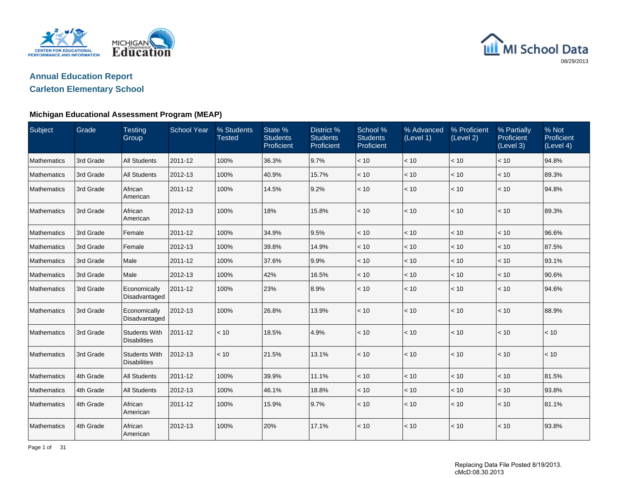

## **Annual Education Report**

## **Carleton Elementary School**

#### **Michigan Educational Assessment Program (MEAP)**

| Subject            | Grade     | <b>Testing</b><br>Group                     | <b>School Year</b> | % Students<br><b>Tested</b> | State %<br><b>Students</b><br>Proficient | District %<br><b>Students</b><br>Proficient | School %<br><b>Students</b><br>Proficient | % Advanced<br>(Level 1) | % Proficient<br>(Level 2) | % Partially<br>Proficient<br>(Level 3) | % Not<br>Proficient<br>(Level 4) |
|--------------------|-----------|---------------------------------------------|--------------------|-----------------------------|------------------------------------------|---------------------------------------------|-------------------------------------------|-------------------------|---------------------------|----------------------------------------|----------------------------------|
| Mathematics        | 3rd Grade | <b>All Students</b>                         | 2011-12            | 100%                        | 36.3%                                    | 9.7%                                        | < 10                                      | < 10                    | < 10                      | < 10                                   | 94.8%                            |
| Mathematics        | 3rd Grade | <b>All Students</b>                         | 2012-13            | 100%                        | 40.9%                                    | 15.7%                                       | < 10                                      | < 10                    | < 10                      | < 10                                   | 89.3%                            |
| Mathematics        | 3rd Grade | African<br>American                         | 2011-12            | 100%                        | 14.5%                                    | 9.2%                                        | < 10                                      | < 10                    | < 10                      | < 10                                   | 94.8%                            |
| Mathematics        | 3rd Grade | African<br>American                         | 2012-13            | 100%                        | 18%                                      | 15.8%                                       | < 10                                      | < 10                    | < 10                      | < 10                                   | 89.3%                            |
| Mathematics        | 3rd Grade | Female                                      | 2011-12            | 100%                        | 34.9%                                    | 9.5%                                        | < 10                                      | < 10                    | < 10                      | < 10                                   | 96.6%                            |
| Mathematics        | 3rd Grade | Female                                      | 2012-13            | 100%                        | 39.8%                                    | 14.9%                                       | < 10                                      | < 10                    | < 10                      | < 10                                   | 87.5%                            |
| Mathematics        | 3rd Grade | Male                                        | 2011-12            | 100%                        | 37.6%                                    | 9.9%                                        | < 10                                      | < 10                    | < 10                      | < 10                                   | 93.1%                            |
| Mathematics        | 3rd Grade | Male                                        | 2012-13            | 100%                        | 42%                                      | 16.5%                                       | < 10                                      | $<10$                   | < 10                      | < 10                                   | 90.6%                            |
| Mathematics        | 3rd Grade | Economically<br>Disadvantaged               | 2011-12            | 100%                        | 23%                                      | 8.9%                                        | < 10                                      | < 10                    | < 10                      | < 10                                   | 94.6%                            |
| Mathematics        | 3rd Grade | Economically<br>Disadvantaged               | 2012-13            | 100%                        | 26.8%                                    | 13.9%                                       | < 10                                      | < 10                    | < 10                      | < 10                                   | 88.9%                            |
| Mathematics        | 3rd Grade | <b>Students With</b><br><b>Disabilities</b> | 2011-12            | < 10                        | 18.5%                                    | 4.9%                                        | < 10                                      | < 10                    | < 10                      | < 10                                   | < 10                             |
| Mathematics        | 3rd Grade | <b>Students With</b><br><b>Disabilities</b> | 2012-13            | < 10                        | 21.5%                                    | 13.1%                                       | < 10                                      | < 10                    | < 10                      | < 10                                   | < 10                             |
| Mathematics        | 4th Grade | <b>All Students</b>                         | 2011-12            | 100%                        | 39.9%                                    | 11.1%                                       | < 10                                      | < 10                    | < 10                      | < 10                                   | 81.5%                            |
| Mathematics        | 4th Grade | <b>All Students</b>                         | 2012-13            | 100%                        | 46.1%                                    | 18.8%                                       | < 10                                      | < 10                    | < 10                      | < 10                                   | 93.8%                            |
| <b>Mathematics</b> | 4th Grade | African<br>American                         | 2011-12            | 100%                        | 15.9%                                    | 9.7%                                        | < 10                                      | < 10                    | < 10                      | < 10                                   | 81.1%                            |
| Mathematics        | 4th Grade | African<br>American                         | 2012-13            | 100%                        | 20%                                      | 17.1%                                       | < 10                                      | < 10                    | < 10                      | < 10                                   | 93.8%                            |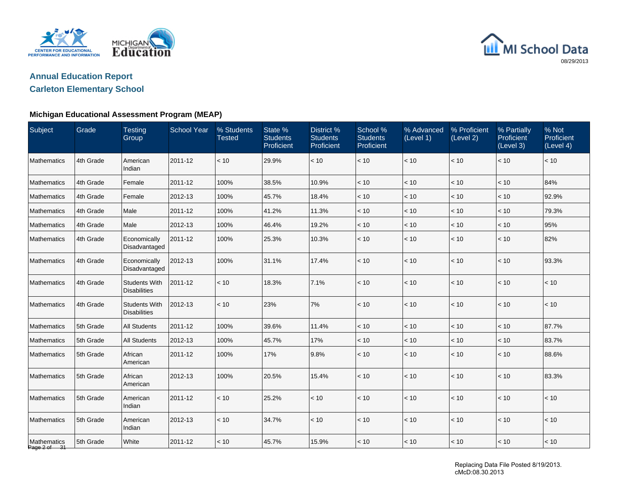

## **Annual Education Report**

## **Carleton Elementary School**

#### **Michigan Educational Assessment Program (MEAP)**

| Subject                     | Grade     | <b>Testing</b><br>Group                     | <b>School Year</b> | % Students<br><b>Tested</b> | State %<br><b>Students</b><br>Proficient | District <sub>%</sub><br><b>Students</b><br>Proficient | School %<br><b>Students</b><br>Proficient | % Advanced<br>(Level 1) | % Proficient<br>(Level 2) | % Partially<br>Proficient<br>(Level 3) | % Not<br>Proficient<br>(Level 4) |
|-----------------------------|-----------|---------------------------------------------|--------------------|-----------------------------|------------------------------------------|--------------------------------------------------------|-------------------------------------------|-------------------------|---------------------------|----------------------------------------|----------------------------------|
| Mathematics                 | 4th Grade | American<br>Indian                          | 2011-12            | < 10                        | 29.9%                                    | < 10                                                   | $<10$                                     | $<10$                   | $<10$                     | < 10                                   | $<10$                            |
| Mathematics                 | 4th Grade | Female                                      | 2011-12            | 100%                        | 38.5%                                    | 10.9%                                                  | < 10                                      | $<10$                   | < 10                      | < 10                                   | 84%                              |
| Mathematics                 | 4th Grade | Female                                      | 2012-13            | 100%                        | 45.7%                                    | 18.4%                                                  | $<10$                                     | < 10                    | < 10                      | < 10                                   | 92.9%                            |
| Mathematics                 | 4th Grade | Male                                        | 2011-12            | 100%                        | 41.2%                                    | 11.3%                                                  | $<10$                                     | < 10                    | $<10$                     | < 10                                   | 79.3%                            |
| Mathematics                 | 4th Grade | Male                                        | 2012-13            | 100%                        | 46.4%                                    | 19.2%                                                  | < 10                                      | < 10                    | < 10                      | < 10                                   | 95%                              |
| Mathematics                 | 4th Grade | Economically<br>Disadvantaged               | 2011-12            | 100%                        | 25.3%                                    | 10.3%                                                  | < 10                                      | < 10                    | < 10                      | $<10$                                  | 82%                              |
| Mathematics                 | 4th Grade | Economically<br>Disadvantaged               | 2012-13            | 100%                        | 31.1%                                    | 17.4%                                                  | $<10$                                     | < 10                    | < 10                      | < 10                                   | 93.3%                            |
| Mathematics                 | 4th Grade | <b>Students With</b><br><b>Disabilities</b> | 2011-12            | < 10                        | 18.3%                                    | 7.1%                                                   | $<10$                                     | $<10$                   | $<10$                     | < 10                                   | < 10                             |
| Mathematics                 | 4th Grade | <b>Students With</b><br><b>Disabilities</b> | 2012-13            | < 10                        | 23%                                      | 7%                                                     | < 10                                      | < 10                    | < 10                      | < 10                                   | < 10                             |
| Mathematics                 | 5th Grade | <b>All Students</b>                         | 2011-12            | 100%                        | 39.6%                                    | 11.4%                                                  | < 10                                      | < 10                    | < 10                      | < 10                                   | 87.7%                            |
| Mathematics                 | 5th Grade | <b>All Students</b>                         | 2012-13            | 100%                        | 45.7%                                    | 17%                                                    | $<10$                                     | $<10$                   | $<10$                     | < 10                                   | 83.7%                            |
| Mathematics                 | 5th Grade | African<br>American                         | 2011-12            | 100%                        | 17%                                      | 9.8%                                                   | < 10                                      | < 10                    | < 10                      | < 10                                   | 88.6%                            |
| Mathematics                 | 5th Grade | African<br>American                         | 2012-13            | 100%                        | 20.5%                                    | 15.4%                                                  | < 10                                      | < 10                    | $<10$                     | $<10$                                  | 83.3%                            |
| Mathematics                 | 5th Grade | American<br>Indian                          | 2011-12            | < 10                        | 25.2%                                    | < 10                                                   | < 10                                      | < 10                    | < 10                      | < 10                                   | < 10                             |
| Mathematics                 | 5th Grade | American<br>Indian                          | 2012-13            | < 10                        | 34.7%                                    | < 10                                                   | $<10$                                     | $<10$                   | $<10$                     | < 10                                   | < 10                             |
| Mathematics<br>Page 2 of 31 | 5th Grade | White                                       | 2011-12            | < 10                        | 45.7%                                    | 15.9%                                                  | $<10$                                     | $<10$                   | $<10$                     | $<10$                                  | < 10                             |

Replacing Data File Posted 8/19/2013. cMcD:08.30.2013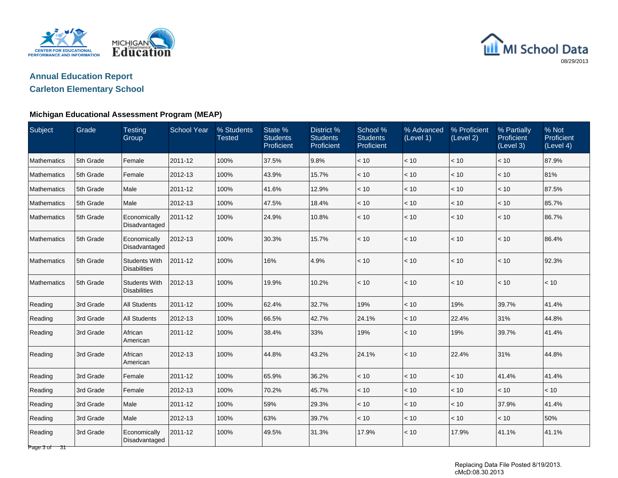

## **Annual Education Report**

## **Carleton Elementary School**

#### **Michigan Educational Assessment Program (MEAP)**

| Subject                 | Grade     | <b>Testing</b><br>Group                     | <b>School Year</b> | % Students<br><b>Tested</b> | State %<br><b>Students</b><br>Proficient | District <sup>%</sup><br><b>Students</b><br>Proficient | School %<br><b>Students</b><br>Proficient | % Advanced<br>(Level 1) | % Proficient<br>(Level 2) | % Partially<br>Proficient<br>(Level 3) | % Not<br>Proficient<br>(Level 4) |
|-------------------------|-----------|---------------------------------------------|--------------------|-----------------------------|------------------------------------------|--------------------------------------------------------|-------------------------------------------|-------------------------|---------------------------|----------------------------------------|----------------------------------|
| Mathematics             | 5th Grade | Female                                      | 2011-12            | 100%                        | 37.5%                                    | 9.8%                                                   | < 10                                      | < 10                    | < 10                      | < 10                                   | 87.9%                            |
| Mathematics             | 5th Grade | Female                                      | 2012-13            | 100%                        | 43.9%                                    | 15.7%                                                  | < 10                                      | $<10$                   | $<10$                     | $<10$                                  | 81%                              |
| Mathematics             | 5th Grade | Male                                        | 2011-12            | 100%                        | 41.6%                                    | 12.9%                                                  | < 10                                      | < 10                    | < 10                      | < 10                                   | 87.5%                            |
| <b>Mathematics</b>      | 5th Grade | Male                                        | 2012-13            | 100%                        | 47.5%                                    | 18.4%                                                  | < 10                                      | < 10                    | < 10                      | < 10                                   | 85.7%                            |
| Mathematics             | 5th Grade | Economically<br>Disadvantaged               | 2011-12            | 100%                        | 24.9%                                    | 10.8%                                                  | < 10                                      | $<10$                   | $<10$                     | $<10$                                  | 86.7%                            |
| Mathematics             | 5th Grade | Economically<br>Disadvantaged               | 2012-13            | 100%                        | 30.3%                                    | 15.7%                                                  | < 10                                      | < 10                    | < 10                      | < 10                                   | 86.4%                            |
| Mathematics             | 5th Grade | <b>Students With</b><br><b>Disabilities</b> | 2011-12            | 100%                        | 16%                                      | 4.9%                                                   | < 10                                      | < 10                    | < 10                      | < 10                                   | 92.3%                            |
| Mathematics             | 5th Grade | <b>Students With</b><br><b>Disabilities</b> | 2012-13            | 100%                        | 19.9%                                    | 10.2%                                                  | < 10                                      | < 10                    | < 10                      | < 10                                   | < 10                             |
| Reading                 | 3rd Grade | <b>All Students</b>                         | 2011-12            | 100%                        | 62.4%                                    | 32.7%                                                  | 19%                                       | < 10                    | 19%                       | 39.7%                                  | 41.4%                            |
| Reading                 | 3rd Grade | All Students                                | 2012-13            | 100%                        | 66.5%                                    | 42.7%                                                  | 24.1%                                     | < 10                    | 22.4%                     | 31%                                    | 44.8%                            |
| Reading                 | 3rd Grade | African<br>American                         | 2011-12            | 100%                        | 38.4%                                    | 33%                                                    | 19%                                       | < 10                    | 19%                       | 39.7%                                  | 41.4%                            |
| Reading                 | 3rd Grade | African<br>American                         | 2012-13            | 100%                        | 44.8%                                    | 43.2%                                                  | 24.1%                                     | < 10                    | 22.4%                     | 31%                                    | 44.8%                            |
| Reading                 | 3rd Grade | Female                                      | 2011-12            | 100%                        | 65.9%                                    | 36.2%                                                  | < 10                                      | < 10                    | < 10                      | 41.4%                                  | 41.4%                            |
| Reading                 | 3rd Grade | Female                                      | 2012-13            | 100%                        | 70.2%                                    | 45.7%                                                  | $<10$                                     | $<10$                   | $<10$                     | $<10$                                  | < 10                             |
| Reading                 | 3rd Grade | Male                                        | 2011-12            | 100%                        | 59%                                      | 29.3%                                                  | < 10                                      | < 10                    | < 10                      | 37.9%                                  | 41.4%                            |
| Reading                 | 3rd Grade | Male                                        | 2012-13            | 100%                        | 63%                                      | 39.7%                                                  | < 10                                      | < 10                    | < 10                      | < 10                                   | 50%                              |
| Reading<br>Page 3 of 31 | 3rd Grade | Economically<br>Disadvantaged               | 2011-12            | 100%                        | 49.5%                                    | 31.3%                                                  | 17.9%                                     | < 10                    | 17.9%                     | 41.1%                                  | 41.1%                            |

Replacing Data File Posted 8/19/2013. cMcD:08.30.2013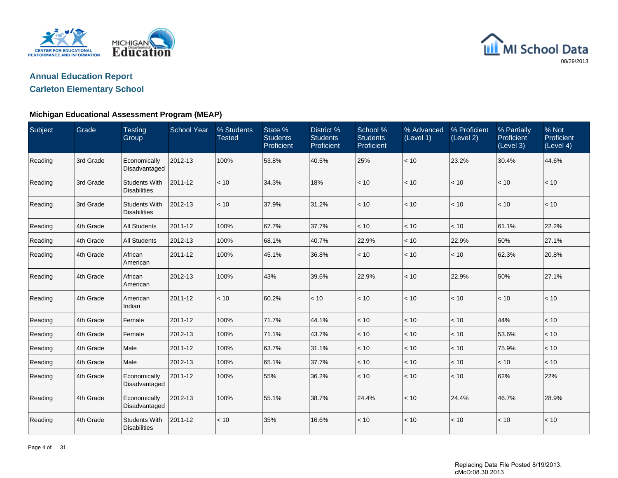



## **Carleton Elementary School**

#### **Michigan Educational Assessment Program (MEAP)**

| Subject | Grade     | <b>Testing</b><br>Group                     | <b>School Year</b> | % Students<br><b>Tested</b> | State %<br><b>Students</b><br>Proficient | District %<br><b>Students</b><br><b>Proficient</b> | School %<br><b>Students</b><br>Proficient | % Advanced<br>(Level 1) | % Proficient<br>(Level 2) | % Partially<br><b>Proficient</b><br>(Level 3) | % Not<br>Proficient<br>(Level 4) |
|---------|-----------|---------------------------------------------|--------------------|-----------------------------|------------------------------------------|----------------------------------------------------|-------------------------------------------|-------------------------|---------------------------|-----------------------------------------------|----------------------------------|
| Reading | 3rd Grade | Economically<br>Disadvantaged               | 2012-13            | 100%                        | 53.8%                                    | 40.5%                                              | 25%                                       | < 10                    | 23.2%                     | 30.4%                                         | 44.6%                            |
| Reading | 3rd Grade | <b>Students With</b><br><b>Disabilities</b> | 2011-12            | < 10                        | 34.3%                                    | 18%                                                | < 10                                      | < 10                    | < 10                      | < 10                                          | < 10                             |
| Reading | 3rd Grade | <b>Students With</b><br><b>Disabilities</b> | 2012-13            | < 10                        | 37.9%                                    | 31.2%                                              | < 10                                      | < 10                    | < 10                      | < 10                                          | < 10                             |
| Reading | 4th Grade | <b>All Students</b>                         | 2011-12            | 100%                        | 67.7%                                    | 37.7%                                              | < 10                                      | < 10                    | < 10                      | 61.1%                                         | 22.2%                            |
| Reading | 4th Grade | <b>All Students</b>                         | 2012-13            | 100%                        | 68.1%                                    | 40.7%                                              | 22.9%                                     | < 10                    | 22.9%                     | 50%                                           | 27.1%                            |
| Reading | 4th Grade | African<br>American                         | 2011-12            | 100%                        | 45.1%                                    | 36.8%                                              | < 10                                      | < 10                    | < 10                      | 62.3%                                         | 20.8%                            |
| Reading | 4th Grade | African<br>American                         | 2012-13            | 100%                        | 43%                                      | 39.6%                                              | 22.9%                                     | < 10                    | 22.9%                     | 50%                                           | 27.1%                            |
| Reading | 4th Grade | American<br>Indian                          | 2011-12            | < 10                        | 60.2%                                    | < 10                                               | < 10                                      | < 10                    | < 10                      | < 10                                          | < 10                             |
| Reading | 4th Grade | Female                                      | 2011-12            | 100%                        | 71.7%                                    | 44.1%                                              | < 10                                      | < 10                    | < 10                      | 44%                                           | < 10                             |
| Reading | 4th Grade | Female                                      | 2012-13            | 100%                        | 71.1%                                    | 43.7%                                              | < 10                                      | < 10                    | < 10                      | 53.6%                                         | < 10                             |
| Reading | 4th Grade | Male                                        | 2011-12            | 100%                        | 63.7%                                    | 31.1%                                              | < 10                                      | < 10                    | < 10                      | 75.9%                                         | < 10                             |
| Reading | 4th Grade | Male                                        | 2012-13            | 100%                        | 65.1%                                    | 37.7%                                              | < 10                                      | < 10                    | < 10                      | < 10                                          | < 10                             |
| Reading | 4th Grade | Economically<br>Disadvantaged               | 2011-12            | 100%                        | 55%                                      | 36.2%                                              | < 10                                      | < 10                    | < 10                      | 62%                                           | 22%                              |
| Reading | 4th Grade | Economically<br>Disadvantaged               | 2012-13            | 100%                        | 55.1%                                    | 38.7%                                              | 24.4%                                     | < 10                    | 24.4%                     | 46.7%                                         | 28.9%                            |
| Reading | 4th Grade | <b>Students With</b><br><b>Disabilities</b> | 2011-12            | < 10                        | 35%                                      | 16.6%                                              | < 10                                      | < 10                    | < 10                      | < 10                                          | < 10                             |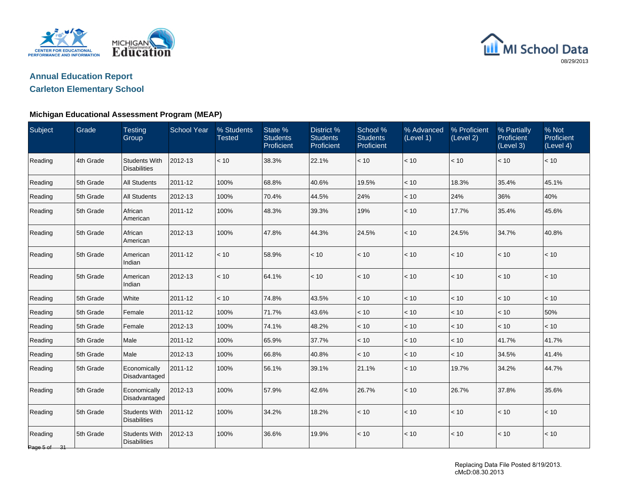

# **Annual Education Report**

## **Carleton Elementary School**

#### **Michigan Educational Assessment Program (MEAP)**

| Subject                 | Grade     | <b>Testing</b><br>Group                     | <b>School Year</b> | % Students<br><b>Tested</b> | State %<br><b>Students</b><br>Proficient | District <sub>%</sub><br><b>Students</b><br>Proficient | School %<br><b>Students</b><br>Proficient | % Advanced<br>(Level 1) | % Proficient<br>(Level 2) | % Partially<br>Proficient<br>(Level 3) | % Not<br>Proficient<br>(Level 4) |
|-------------------------|-----------|---------------------------------------------|--------------------|-----------------------------|------------------------------------------|--------------------------------------------------------|-------------------------------------------|-------------------------|---------------------------|----------------------------------------|----------------------------------|
| Reading                 | 4th Grade | <b>Students With</b><br><b>Disabilities</b> | 2012-13            | < 10                        | 38.3%                                    | 22.1%                                                  | < 10                                      | < 10                    | < 10                      | < 10                                   | < 10                             |
| Reading                 | 5th Grade | <b>All Students</b>                         | 2011-12            | 100%                        | 68.8%                                    | 40.6%                                                  | 19.5%                                     | < 10                    | 18.3%                     | 35.4%                                  | 45.1%                            |
| Reading                 | 5th Grade | All Students                                | 2012-13            | 100%                        | 70.4%                                    | 44.5%                                                  | 24%                                       | < 10                    | 24%                       | 36%                                    | 40%                              |
| Reading                 | 5th Grade | African<br>American                         | 2011-12            | 100%                        | 48.3%                                    | 39.3%                                                  | 19%                                       | < 10                    | 17.7%                     | 35.4%                                  | 45.6%                            |
| Reading                 | 5th Grade | African<br>American                         | 2012-13            | 100%                        | 47.8%                                    | 44.3%                                                  | 24.5%                                     | < 10                    | 24.5%                     | 34.7%                                  | 40.8%                            |
| Reading                 | 5th Grade | American<br>Indian                          | 2011-12            | < 10                        | 58.9%                                    | < 10                                                   | < 10                                      | < 10                    | < 10                      | < 10                                   | $<10$                            |
| Reading                 | 5th Grade | American<br>Indian                          | 2012-13            | < 10                        | 64.1%                                    | < 10                                                   | < 10                                      | $<10$                   | < 10                      | < 10                                   | < 10                             |
| Reading                 | 5th Grade | White                                       | 2011-12            | < 10                        | 74.8%                                    | 43.5%                                                  | < 10                                      | $<10$                   | $<10$                     | $<10$                                  | $<10$                            |
| Reading                 | 5th Grade | Female                                      | 2011-12            | 100%                        | 71.7%                                    | 43.6%                                                  | < 10                                      | < 10                    | < 10                      | < 10                                   | 50%                              |
| Reading                 | 5th Grade | Female                                      | 2012-13            | 100%                        | 74.1%                                    | 48.2%                                                  | < 10                                      | < 10                    | $<10$                     | < 10                                   | $<10$                            |
| Reading                 | 5th Grade | Male                                        | 2011-12            | 100%                        | 65.9%                                    | 37.7%                                                  | < 10                                      | < 10                    | $<10$                     | 41.7%                                  | 41.7%                            |
| Reading                 | 5th Grade | Male                                        | 2012-13            | 100%                        | 66.8%                                    | 40.8%                                                  | < 10                                      | < 10                    | < 10                      | 34.5%                                  | 41.4%                            |
| Reading                 | 5th Grade | Economically<br>Disadvantaged               | 2011-12            | 100%                        | 56.1%                                    | 39.1%                                                  | 21.1%                                     | < 10                    | 19.7%                     | 34.2%                                  | 44.7%                            |
| Reading                 | 5th Grade | Economically<br>Disadvantaged               | 2012-13            | 100%                        | 57.9%                                    | 42.6%                                                  | 26.7%                                     | $<10$                   | 26.7%                     | 37.8%                                  | 35.6%                            |
| Reading                 | 5th Grade | <b>Students With</b><br><b>Disabilities</b> | 2011-12            | 100%                        | 34.2%                                    | 18.2%                                                  | < 10                                      | < 10                    | $<10$                     | < 10                                   | < 10                             |
| Reading<br>Page 5 of 31 | 5th Grade | <b>Students With</b><br><b>Disabilities</b> | 2012-13            | 100%                        | 36.6%                                    | 19.9%                                                  | < 10                                      | < 10                    | $<10$                     | $<10$                                  | $<10$                            |

Replacing Data File Posted 8/19/2013. cMcD:08.30.2013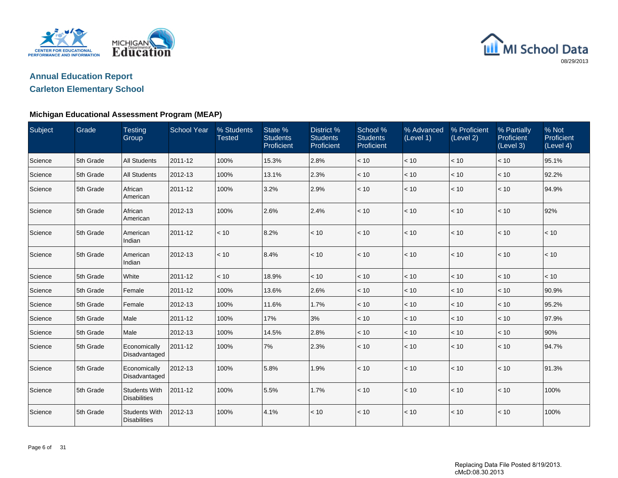

## **Annual Education Report**

## **Carleton Elementary School**

#### **Michigan Educational Assessment Program (MEAP)**

| Subject | Grade     | <b>Testing</b><br>Group                     | <b>School Year</b> | % Students<br><b>Tested</b> | State %<br><b>Students</b><br>Proficient | District %<br><b>Students</b><br>Proficient | School %<br><b>Students</b><br>Proficient | % Advanced<br>(Level 1) | % Proficient<br>(Level 2) | % Partially<br>Proficient<br>(Level 3) | % Not<br>Proficient<br>(Level 4) |
|---------|-----------|---------------------------------------------|--------------------|-----------------------------|------------------------------------------|---------------------------------------------|-------------------------------------------|-------------------------|---------------------------|----------------------------------------|----------------------------------|
| Science | 5th Grade | <b>All Students</b>                         | 2011-12            | 100%                        | 15.3%                                    | 2.8%                                        | < 10                                      | < 10                    | < 10                      | < 10                                   | 95.1%                            |
| Science | 5th Grade | <b>All Students</b>                         | 2012-13            | 100%                        | 13.1%                                    | 2.3%                                        | < 10                                      | < 10                    | < 10                      | $<10$                                  | 92.2%                            |
| Science | 5th Grade | African<br>American                         | 2011-12            | 100%                        | 3.2%                                     | 2.9%                                        | < 10                                      | < 10                    | < 10                      | < 10                                   | 94.9%                            |
| Science | 5th Grade | African<br>American                         | 2012-13            | 100%                        | 2.6%                                     | 2.4%                                        | < 10                                      | < 10                    | < 10                      | < 10                                   | 92%                              |
| Science | 5th Grade | American<br>Indian                          | 2011-12            | < 10                        | 8.2%                                     | < 10                                        | < 10                                      | < 10                    | < 10                      | < 10                                   | < 10                             |
| Science | 5th Grade | American<br>Indian                          | 2012-13            | < 10                        | 8.4%                                     | < 10                                        | < 10                                      | < 10                    | < 10                      | < 10                                   | $<10$                            |
| Science | 5th Grade | White                                       | 2011-12            | < 10                        | 18.9%                                    | < 10                                        | < 10                                      | < 10                    | < 10                      | < 10                                   | < 10                             |
| Science | 5th Grade | Female                                      | 2011-12            | 100%                        | 13.6%                                    | 2.6%                                        | < 10                                      | < 10                    | < 10                      | < 10                                   | 90.9%                            |
| Science | 5th Grade | Female                                      | 2012-13            | 100%                        | 11.6%                                    | 1.7%                                        | < 10                                      | < 10                    | < 10                      | < 10                                   | 95.2%                            |
| Science | 5th Grade | Male                                        | 2011-12            | 100%                        | 17%                                      | 3%                                          | < 10                                      | < 10                    | < 10                      | < 10                                   | 97.9%                            |
| Science | 5th Grade | Male                                        | 2012-13            | 100%                        | 14.5%                                    | 2.8%                                        | < 10                                      | < 10                    | < 10                      | < 10                                   | 90%                              |
| Science | 5th Grade | Economically<br>Disadvantaged               | 2011-12            | 100%                        | 7%                                       | 2.3%                                        | < 10                                      | < 10                    | < 10                      | < 10                                   | 94.7%                            |
| Science | 5th Grade | Economically<br>Disadvantaged               | 2012-13            | 100%                        | 5.8%                                     | 1.9%                                        | < 10                                      | < 10                    | < 10                      | < 10                                   | 91.3%                            |
| Science | 5th Grade | <b>Students With</b><br><b>Disabilities</b> | 2011-12            | 100%                        | 5.5%                                     | 1.7%                                        | < 10                                      | < 10                    | < 10                      | < 10                                   | 100%                             |
| Science | 5th Grade | <b>Students With</b><br><b>Disabilities</b> | 2012-13            | 100%                        | 4.1%                                     | < 10                                        | < 10                                      | < 10                    | < 10                      | < 10                                   | 100%                             |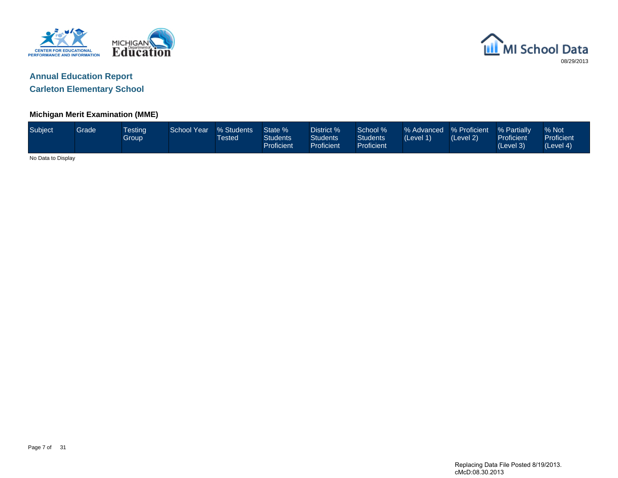



**Carleton Elementary School**

#### **Michigan Merit Examination (MME)**

| Subject            | Grade | <b>Testing</b><br>Group | <b>School Year</b> | % Students<br>Tested | State %<br><b>Students</b><br>Proficient | District %<br><b>Students</b><br><b>Proficient</b> | School %<br><b>Students</b><br><b>Proficient</b> | % Advanced % Proficient<br>(Level 1) | (Level 2) | % Partially<br>Proficient<br>(Level 3) | % Not<br>Proficient<br>(Level 4) |
|--------------------|-------|-------------------------|--------------------|----------------------|------------------------------------------|----------------------------------------------------|--------------------------------------------------|--------------------------------------|-----------|----------------------------------------|----------------------------------|
| No Data to Display |       |                         |                    |                      |                                          |                                                    |                                                  |                                      |           |                                        |                                  |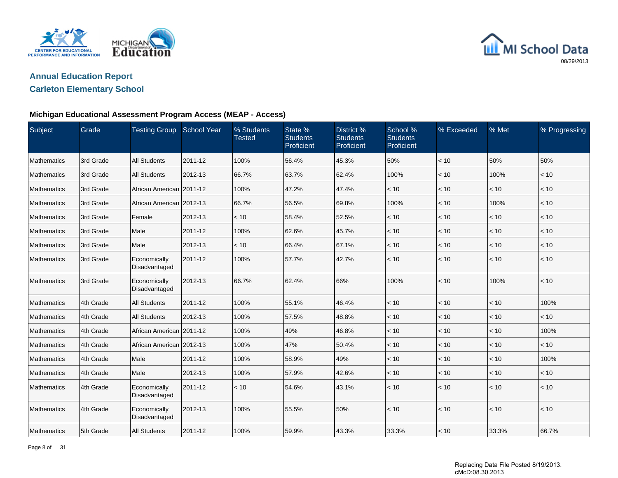



#### **Carleton Elementary School**

#### **Michigan Educational Assessment Program Access (MEAP - Access)**

| Subject     | Grade     | <b>Testing Group</b>          | <b>School Year</b> | % Students<br><b>Tested</b> | State %<br><b>Students</b><br>Proficient | District %<br><b>Students</b><br>Proficient | School %<br><b>Students</b><br>Proficient | % Exceeded   | % Met | % Progressing |
|-------------|-----------|-------------------------------|--------------------|-----------------------------|------------------------------------------|---------------------------------------------|-------------------------------------------|--------------|-------|---------------|
| Mathematics | 3rd Grade | <b>All Students</b>           | 2011-12            | 100%                        | 56.4%                                    | 45.3%                                       | 50%                                       | < 10         | 50%   | 50%           |
| Mathematics | 3rd Grade | <b>All Students</b>           | 2012-13            | 66.7%                       | 63.7%                                    | 62.4%                                       | 100%                                      | < 10         | 100%  | < 10          |
| Mathematics | 3rd Grade | African American 2011-12      |                    | 100%                        | 47.2%                                    | 47.4%                                       | < 10                                      | < 10         | < 10  | < 10          |
| Mathematics | 3rd Grade | African American 2012-13      |                    | 66.7%                       | 56.5%                                    | 69.8%                                       | 100%                                      | < 10         | 100%  | < 10          |
| Mathematics | 3rd Grade | Female                        | 2012-13            | < 10                        | 58.4%                                    | 52.5%                                       | < 10                                      | < 10         | < 10  | < 10          |
| Mathematics | 3rd Grade | Male                          | 2011-12            | 100%                        | 62.6%                                    | 45.7%                                       | < 10                                      | < 10         | < 10  | $<10$         |
| Mathematics | 3rd Grade | Male                          | 2012-13            | < 10                        | 66.4%                                    | 67.1%                                       | < 10                                      | < 10         | < 10  | < 10          |
| Mathematics | 3rd Grade | Economically<br>Disadvantaged | 2011-12            | 100%                        | 57.7%                                    | 42.7%                                       | < 10                                      | < 10         | < 10  | < 10          |
| Mathematics | 3rd Grade | Economically<br>Disadvantaged | 2012-13            | 66.7%                       | 62.4%                                    | 66%                                         | 100%                                      | $\vert$ < 10 | 100%  | < 10          |
| Mathematics | 4th Grade | <b>All Students</b>           | 2011-12            | 100%                        | 55.1%                                    | 46.4%                                       | < 10                                      | < 10         | < 10  | 100%          |
| Mathematics | 4th Grade | <b>All Students</b>           | 2012-13            | 100%                        | 57.5%                                    | 48.8%                                       | < 10                                      | < 10         | < 10  | < 10          |
| Mathematics | 4th Grade | African American 2011-12      |                    | 100%                        | 49%                                      | 46.8%                                       | < 10                                      | < 10         | < 10  | 100%          |
| Mathematics | 4th Grade | African American 2012-13      |                    | 100%                        | 47%                                      | 50.4%                                       | < 10                                      | $<10$        | < 10  | < 10          |
| Mathematics | 4th Grade | Male                          | 2011-12            | 100%                        | 58.9%                                    | 49%                                         | < 10                                      | < 10         | < 10  | 100%          |
| Mathematics | 4th Grade | Male                          | 2012-13            | 100%                        | 57.9%                                    | 42.6%                                       | < 10                                      | < 10         | < 10  | < 10          |
| Mathematics | 4th Grade | Economically<br>Disadvantaged | 2011-12            | < 10                        | 54.6%                                    | 43.1%                                       | < 10                                      | < 10         | < 10  | < 10          |
| Mathematics | 4th Grade | Economically<br>Disadvantaged | 2012-13            | 100%                        | 55.5%                                    | 50%                                         | < 10                                      | $ $ < 10     | < 10  | < 10          |
| Mathematics | 5th Grade | <b>All Students</b>           | 2011-12            | 100%                        | 59.9%                                    | 43.3%                                       | 33.3%                                     | $\vert$ < 10 | 33.3% | 66.7%         |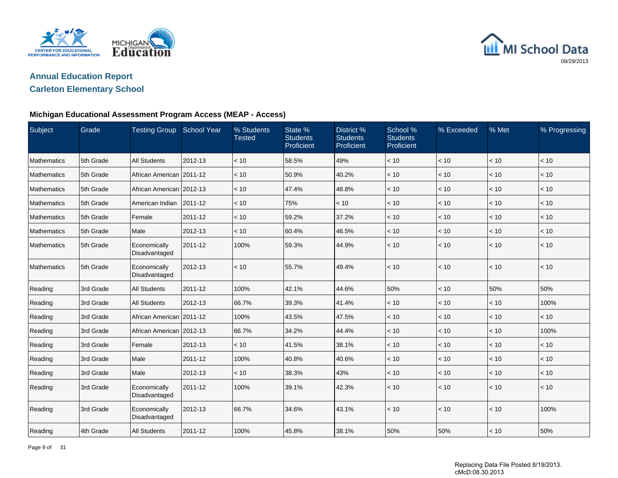



#### **Carleton Elementary School**

#### **Michigan Educational Assessment Program Access (MEAP - Access)**

| Subject     | Grade     | <b>Testing Group School Year</b> |         | % Students<br><b>Tested</b> | State %<br><b>Students</b><br>Proficient | District %<br><b>Students</b><br>Proficient | School %<br><b>Students</b><br>Proficient | % Exceeded   | % Met | % Progressing |
|-------------|-----------|----------------------------------|---------|-----------------------------|------------------------------------------|---------------------------------------------|-------------------------------------------|--------------|-------|---------------|
| Mathematics | 5th Grade | <b>All Students</b>              | 2012-13 | < 10                        | 58.5%                                    | 49%                                         | < 10                                      | < 10         | < 10  | < 10          |
| Mathematics | 5th Grade | African American 2011-12         |         | < 10                        | 50.9%                                    | 40.2%                                       | < 10                                      | < 10         | < 10  | < 10          |
| Mathematics | 5th Grade | African American 2012-13         |         | < 10                        | 47.4%                                    | 48.8%                                       | < 10                                      | < 10         | $<10$ | $<10$         |
| Mathematics | 5th Grade | American Indian                  | 2011-12 | < 10                        | 75%                                      | < 10                                        | < 10                                      | < 10         | < 10  | < 10          |
| Mathematics | 5th Grade | Female                           | 2011-12 | < 10                        | 59.2%                                    | 37.2%                                       | < 10                                      | < 10         | < 10  | < 10          |
| Mathematics | 5th Grade | Male                             | 2012-13 | < 10                        | 60.4%                                    | 46.5%                                       | < 10                                      | < 10         | < 10  | < 10          |
| Mathematics | 5th Grade | Economically<br>Disadvantaged    | 2011-12 | 100%                        | 59.3%                                    | 44.9%                                       | < 10                                      | < 10         | < 10  | < 10          |
| Mathematics | 5th Grade | Economically<br>Disadvantaged    | 2012-13 | < 10                        | 55.7%                                    | 49.4%                                       | < 10                                      | $\vert$ < 10 | < 10  | < 10          |
| Reading     | 3rd Grade | <b>All Students</b>              | 2011-12 | 100%                        | 42.1%                                    | 44.6%                                       | 50%                                       | < 10         | 50%   | 50%           |
| Reading     | 3rd Grade | <b>All Students</b>              | 2012-13 | 66.7%                       | 39.3%                                    | 41.4%                                       | < 10                                      | < 10         | < 10  | 100%          |
| Reading     | 3rd Grade | African American   2011-12       |         | 100%                        | 43.5%                                    | 47.5%                                       | < 10                                      | < 10         | < 10  | < 10          |
| Reading     | 3rd Grade | African American 2012-13         |         | 66.7%                       | 34.2%                                    | 44.4%                                       | < 10                                      | < 10         | < 10  | 100%          |
| Reading     | 3rd Grade | Female                           | 2012-13 | < 10                        | 41.5%                                    | 38.1%                                       | < 10                                      | < 10         | < 10  | < 10          |
| Reading     | 3rd Grade | Male                             | 2011-12 | 100%                        | 40.8%                                    | 40.6%                                       | < 10                                      | < 10         | < 10  | < 10          |
| Reading     | 3rd Grade | Male                             | 2012-13 | < 10                        | 38.3%                                    | 43%                                         | < 10                                      | < 10         | < 10  | < 10          |
| Reading     | 3rd Grade | Economically<br>Disadvantaged    | 2011-12 | 100%                        | 39.1%                                    | 42.3%                                       | < 10                                      | $\vert$ < 10 | < 10  | < 10          |
| Reading     | 3rd Grade | Economically<br>Disadvantaged    | 2012-13 | 66.7%                       | 34.6%                                    | 43.1%                                       | < 10                                      | $\vert$ < 10 | < 10  | 100%          |
| Reading     | 4th Grade | <b>All Students</b>              | 2011-12 | 100%                        | 45.8%                                    | 38.1%                                       | 50%                                       | 50%          | < 10  | 50%           |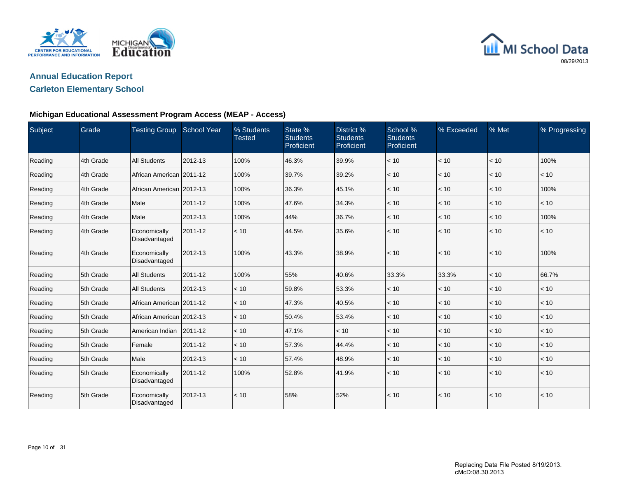



#### **Carleton Elementary School**

#### **Michigan Educational Assessment Program Access (MEAP - Access)**

| Subject | Grade     | Testing Group School Year     |         | % Students<br><b>Tested</b> | State %<br><b>Students</b><br>Proficient | District %<br><b>Students</b><br>Proficient | School %<br><b>Students</b><br>Proficient | % Exceeded   | % Met | % Progressing |
|---------|-----------|-------------------------------|---------|-----------------------------|------------------------------------------|---------------------------------------------|-------------------------------------------|--------------|-------|---------------|
| Reading | 4th Grade | <b>All Students</b>           | 2012-13 | 100%                        | 46.3%                                    | 39.9%                                       | < 10                                      | < 10         | < 10  | 100%          |
| Reading | 4th Grade | African American 2011-12      |         | 100%                        | 39.7%                                    | 39.2%                                       | < 10                                      | < 10         | < 10  | < 10          |
| Reading | 4th Grade | African American 2012-13      |         | 100%                        | 36.3%                                    | 45.1%                                       | < 10                                      | < 10         | < 10  | 100%          |
| Reading | 4th Grade | Male                          | 2011-12 | 100%                        | 47.6%                                    | 34.3%                                       | < 10                                      | < 10         | < 10  | < 10          |
| Reading | 4th Grade | Male                          | 2012-13 | 100%                        | 44%                                      | 36.7%                                       | < 10                                      | < 10         | < 10  | 100%          |
| Reading | 4th Grade | Economically<br>Disadvantaged | 2011-12 | < 10                        | 44.5%                                    | 35.6%                                       | < 10                                      | $ $ < 10     | < 10  | < 10          |
| Reading | 4th Grade | Economically<br>Disadvantaged | 2012-13 | 100%                        | 43.3%                                    | 38.9%                                       | < 10                                      | $\vert$ < 10 | < 10  | 100%          |
| Reading | 5th Grade | <b>All Students</b>           | 2011-12 | 100%                        | 55%                                      | 40.6%                                       | 33.3%                                     | 33.3%        | < 10  | 66.7%         |
| Reading | 5th Grade | <b>All Students</b>           | 2012-13 | < 10                        | 59.8%                                    | 53.3%                                       | < 10                                      | < 10         | < 10  | < 10          |
| Reading | 5th Grade | African American   2011-12    |         | < 10                        | 47.3%                                    | 40.5%                                       | < 10                                      | < 10         | < 10  | < 10          |
| Reading | 5th Grade | African American   2012-13    |         | < 10                        | 50.4%                                    | 53.4%                                       | < 10                                      | < 10         | < 10  | < 10          |
| Reading | 5th Grade | American Indian               | 2011-12 | < 10                        | 47.1%                                    | < 10                                        | < 10                                      | < 10         | < 10  | < 10          |
| Reading | 5th Grade | Female                        | 2011-12 | < 10                        | 57.3%                                    | 44.4%                                       | < 10                                      | < 10         | < 10  | < 10          |
| Reading | 5th Grade | Male                          | 2012-13 | < 10                        | 57.4%                                    | 48.9%                                       | < 10                                      | $ $ < 10     | < 10  | < 10          |
| Reading | 5th Grade | Economically<br>Disadvantaged | 2011-12 | 100%                        | 52.8%                                    | 41.9%                                       | < 10                                      | $ $ < 10     | < 10  | < 10          |
| Reading | 5th Grade | Economically<br>Disadvantaged | 2012-13 | < 10                        | 58%                                      | 52%                                         | < 10                                      | $\vert$ < 10 | < 10  | < 10          |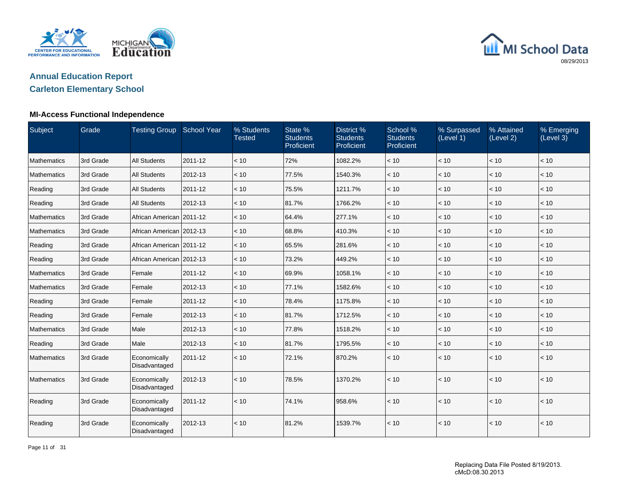

# **Annual Education Report**

## **Carleton Elementary School**

#### **MI-Access Functional Independence**

| Subject            | Grade     | <b>Testing Group School Year</b> |         | % Students<br><b>Tested</b> | State %<br><b>Students</b><br>Proficient | District %<br><b>Students</b><br>Proficient | School %<br><b>Students</b><br>Proficient | % Surpassed<br>(Level 1) | % Attained<br>(Level 2) | % Emerging<br>(Level 3) |
|--------------------|-----------|----------------------------------|---------|-----------------------------|------------------------------------------|---------------------------------------------|-------------------------------------------|--------------------------|-------------------------|-------------------------|
| Mathematics        | 3rd Grade | <b>All Students</b>              | 2011-12 | < 10                        | 72%                                      | 1082.2%                                     | < 10                                      | < 10                     | < 10                    | < 10                    |
| <b>Mathematics</b> | 3rd Grade | <b>All Students</b>              | 2012-13 | < 10                        | 77.5%                                    | 1540.3%                                     | < 10                                      | < 10                     | < 10                    | < 10                    |
| Reading            | 3rd Grade | <b>All Students</b>              | 2011-12 | < 10                        | 75.5%                                    | 1211.7%                                     | < 10                                      | < 10                     | < 10                    | < 10                    |
| Reading            | 3rd Grade | <b>All Students</b>              | 2012-13 | < 10                        | 81.7%                                    | 1766.2%                                     | < 10                                      | < 10                     | < 10                    | < 10                    |
| Mathematics        | 3rd Grade | African American 2011-12         |         | < 10                        | 64.4%                                    | 277.1%                                      | < 10                                      | < 10                     | < 10                    | < 10                    |
| Mathematics        | 3rd Grade | African American 2012-13         |         | < 10                        | 68.8%                                    | 410.3%                                      | < 10                                      | < 10                     | < 10                    | < 10                    |
| Reading            | 3rd Grade | African American   2011-12       |         | < 10                        | 65.5%                                    | 281.6%                                      | < 10                                      | < 10                     | < 10                    | < 10                    |
| Reading            | 3rd Grade | African American 2012-13         |         | < 10                        | 73.2%                                    | 449.2%                                      | < 10                                      | < 10                     | < 10                    | $ $ < 10                |
| Mathematics        | 3rd Grade | Female                           | 2011-12 | < 10                        | 69.9%                                    | 1058.1%                                     | < 10                                      | < 10                     | < 10                    | < 10                    |
| Mathematics        | 3rd Grade | Female                           | 2012-13 | < 10                        | 77.1%                                    | 1582.6%                                     | < 10                                      | < 10                     | < 10                    | < 10                    |
| Reading            | 3rd Grade | Female                           | 2011-12 | < 10                        | 78.4%                                    | 1175.8%                                     | < 10                                      | < 10                     | < 10                    | $\vert$ < 10            |
| Reading            | 3rd Grade | Female                           | 2012-13 | < 10                        | 81.7%                                    | 1712.5%                                     | < 10                                      | < 10                     | < 10                    | $\vert$ < 10            |
| Mathematics        | 3rd Grade | Male                             | 2012-13 | < 10                        | 77.8%                                    | 1518.2%                                     | < 10                                      | < 10                     | < 10                    | < 10                    |
| Reading            | 3rd Grade | Male                             | 2012-13 | < 10                        | 81.7%                                    | 1795.5%                                     | < 10                                      | < 10                     | < 10                    | $\vert$ < 10            |
| <b>Mathematics</b> | 3rd Grade | Economically<br>Disadvantaged    | 2011-12 | < 10                        | 72.1%                                    | 870.2%                                      | < 10                                      | < 10                     | < 10                    | $ $ < 10                |
| Mathematics        | 3rd Grade | Economically<br>Disadvantaged    | 2012-13 | < 10                        | 78.5%                                    | 1370.2%                                     | < 10                                      | < 10                     | < 10                    | $\vert$ < 10            |
| Reading            | 3rd Grade | Economically<br>Disadvantaged    | 2011-12 | < 10                        | 74.1%                                    | 958.6%                                      | < 10                                      | < 10                     | < 10                    | $ $ < 10                |
| Reading            | 3rd Grade | Economically<br>Disadvantaged    | 2012-13 | < 10                        | 81.2%                                    | 1539.7%                                     | < 10                                      | < 10                     | < 10                    | < 10                    |

Page 11 of 31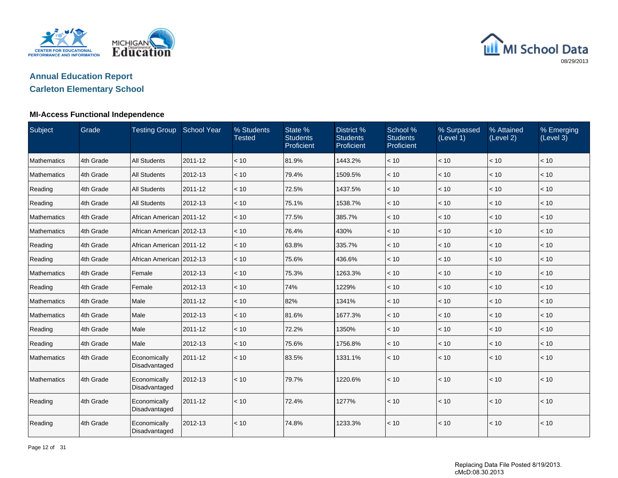

# **Annual Education Report**

## **Carleton Elementary School**

#### **MI-Access Functional Independence**

| Subject            | Grade     | <b>Testing Group School Year</b> |         | % Students<br><b>Tested</b> | State %<br><b>Students</b><br>Proficient | District %<br><b>Students</b><br>Proficient | School %<br><b>Students</b><br>Proficient | % Surpassed<br>(Level 1) | % Attained<br>(Level 2) | % Emerging<br>(Level 3) |
|--------------------|-----------|----------------------------------|---------|-----------------------------|------------------------------------------|---------------------------------------------|-------------------------------------------|--------------------------|-------------------------|-------------------------|
| Mathematics        | 4th Grade | <b>All Students</b>              | 2011-12 | < 10                        | 81.9%                                    | 1443.2%                                     | < 10                                      | < 10                     | < 10                    | < 10                    |
| <b>Mathematics</b> | 4th Grade | <b>All Students</b>              | 2012-13 | < 10                        | 79.4%                                    | 1509.5%                                     | < 10                                      | < 10                     | < 10                    | < 10                    |
| Reading            | 4th Grade | <b>All Students</b>              | 2011-12 | < 10                        | 72.5%                                    | 1437.5%                                     | < 10                                      | < 10                     | < 10                    | < 10                    |
| Reading            | 4th Grade | <b>All Students</b>              | 2012-13 | < 10                        | 75.1%                                    | 1538.7%                                     | < 10                                      | < 10                     | < 10                    | < 10                    |
| Mathematics        | 4th Grade | African American 2011-12         |         | < 10                        | 77.5%                                    | 385.7%                                      | < 10                                      | < 10                     | < 10                    | < 10                    |
| Mathematics        | 4th Grade | African American 2012-13         |         | < 10                        | 76.4%                                    | 430%                                        | < 10                                      | < 10                     | < 10                    | < 10                    |
| Reading            | 4th Grade | African American   2011-12       |         | < 10                        | 63.8%                                    | 335.7%                                      | < 10                                      | < 10                     | < 10                    | < 10                    |
| Reading            | 4th Grade | African American 2012-13         |         | < 10                        | 75.6%                                    | 436.6%                                      | < 10                                      | < 10                     | < 10                    | < 10                    |
| Mathematics        | 4th Grade | Female                           | 2012-13 | < 10                        | 75.3%                                    | 1263.3%                                     | < 10                                      | < 10                     | < 10                    | < 10                    |
| Reading            | 4th Grade | Female                           | 2012-13 | < 10                        | 74%                                      | 1229%                                       | < 10                                      | < 10                     | < 10                    | < 10                    |
| Mathematics        | 4th Grade | Male                             | 2011-12 | < 10                        | 82%                                      | 1341%                                       | < 10                                      | < 10                     | < 10                    | $ $ < 10                |
| Mathematics        | 4th Grade | Male                             | 2012-13 | < 10                        | 81.6%                                    | 1677.3%                                     | < 10                                      | < 10                     | < 10                    | < 10                    |
| Reading            | 4th Grade | Male                             | 2011-12 | < 10                        | 72.2%                                    | 1350%                                       | < 10                                      | < 10                     | < 10                    | < 10                    |
| Reading            | 4th Grade | Male                             | 2012-13 | < 10                        | 75.6%                                    | 1756.8%                                     | < 10                                      | < 10                     | < 10                    | $\vert$ < 10            |
| <b>Mathematics</b> | 4th Grade | Economically<br>Disadvantaged    | 2011-12 | < 10                        | 83.5%                                    | 1331.1%                                     | < 10                                      | < 10                     | < 10                    | $ $ < 10                |
| Mathematics        | 4th Grade | Economically<br>Disadvantaged    | 2012-13 | < 10                        | 79.7%                                    | 1220.6%                                     | < 10                                      | < 10                     | < 10                    | < 10                    |
| Reading            | 4th Grade | Economically<br>Disadvantaged    | 2011-12 | < 10                        | 72.4%                                    | 1277%                                       | < 10                                      | < 10                     | < 10                    | < 10                    |
| Reading            | 4th Grade | Economically<br>Disadvantaged    | 2012-13 | < 10                        | 74.8%                                    | 1233.3%                                     | < 10                                      | < 10                     | < 10                    | < 10                    |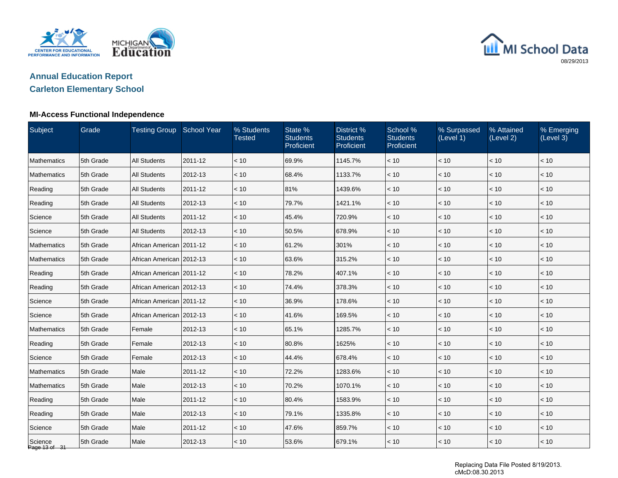

# **Annual Education Report**

## **Carleton Elementary School**

#### **MI-Access Functional Independence**

| Subject                  | Grade     | Testing Group School Year  |         | % Students<br><b>Tested</b> | State %<br><b>Students</b><br>Proficient | District %<br><b>Students</b><br>Proficient | School %<br><b>Students</b><br>Proficient | % Surpassed<br>(Level 1) | % Attained<br>(Level 2) | % Emerging<br>(Level 3) |
|--------------------------|-----------|----------------------------|---------|-----------------------------|------------------------------------------|---------------------------------------------|-------------------------------------------|--------------------------|-------------------------|-------------------------|
| <b>Mathematics</b>       | 5th Grade | <b>All Students</b>        | 2011-12 | < 10                        | 69.9%                                    | 1145.7%                                     | < 10                                      | < 10                     | < 10                    | < 10                    |
| Mathematics              | 5th Grade | <b>All Students</b>        | 2012-13 | < 10                        | 68.4%                                    | 1133.7%                                     | < 10                                      | < 10                     | $<10$                   | < 10                    |
| Reading                  | 5th Grade | <b>All Students</b>        | 2011-12 | < 10                        | 81%                                      | 1439.6%                                     | < 10                                      | < 10                     | < 10                    | < 10                    |
| Reading                  | 5th Grade | <b>All Students</b>        | 2012-13 | < 10                        | 79.7%                                    | 1421.1%                                     | < 10                                      | < 10                     | < 10                    | < 10                    |
| Science                  | 5th Grade | <b>All Students</b>        | 2011-12 | < 10                        | 45.4%                                    | 720.9%                                      | < 10                                      | < 10                     | < 10                    | < 10                    |
| Science                  | 5th Grade | <b>All Students</b>        | 2012-13 | < 10                        | 50.5%                                    | 678.9%                                      | < 10                                      | < 10                     | < 10                    | < 10                    |
| Mathematics              | 5th Grade | African American 2011-12   |         | < 10                        | 61.2%                                    | 301%                                        | < 10                                      | < 10                     | $<10$                   | $<10$                   |
| <b>Mathematics</b>       | 5th Grade | African American   2012-13 |         | $~<$ 10                     | 63.6%                                    | 315.2%                                      | < 10                                      | < 10                     | < 10                    | < 10                    |
| Reading                  | 5th Grade | African American 2011-12   |         | $~<$ 10                     | 78.2%                                    | 407.1%                                      | < 10                                      | < 10                     | < 10                    | < 10                    |
| Reading                  | 5th Grade | African American 2012-13   |         | < 10                        | 74.4%                                    | 378.3%                                      | < 10                                      | < 10                     | < 10                    | < 10                    |
| Science                  | 5th Grade | African American 2011-12   |         | < 10                        | 36.9%                                    | 178.6%                                      | < 10                                      | < 10                     | < 10                    | < 10                    |
| Science                  | 5th Grade | African American 2012-13   |         | < 10                        | 41.6%                                    | 169.5%                                      | < 10                                      | < 10                     | $<10$                   | $<10$                   |
| <b>Mathematics</b>       | 5th Grade | Female                     | 2012-13 | < 10                        | 65.1%                                    | 1285.7%                                     | < 10                                      | < 10                     | < 10                    | < 10                    |
| Reading                  | 5th Grade | Female                     | 2012-13 | < 10                        | 80.8%                                    | 1625%                                       | < 10                                      | < 10                     | < 10                    | < 10                    |
| Science                  | 5th Grade | Female                     | 2012-13 | < 10                        | 44.4%                                    | 678.4%                                      | < 10                                      | < 10                     | < 10                    | < 10                    |
| <b>Mathematics</b>       | 5th Grade | Male                       | 2011-12 | < 10                        | 72.2%                                    | 1283.6%                                     | < 10                                      | < 10                     | < 10                    | < 10                    |
| Mathematics              | 5th Grade | Male                       | 2012-13 | < 10                        | 70.2%                                    | 1070.1%                                     | < 10                                      | $<10$                    | < 10                    | < 10                    |
| Reading                  | 5th Grade | Male                       | 2011-12 | < 10                        | 80.4%                                    | 1583.9%                                     | < 10                                      | < 10                     | < 10                    | < 10                    |
| Reading                  | 5th Grade | Male                       | 2012-13 | < 10                        | 79.1%                                    | 1335.8%                                     | < 10                                      | < 10                     | < 10                    | < 10                    |
| Science                  | 5th Grade | Male                       | 2011-12 | < 10                        | 47.6%                                    | 859.7%                                      | < 10                                      | < 10                     | < 10                    | < 10                    |
| Science<br>Page 13 of 31 | 5th Grade | Male                       | 2012-13 | < 10                        | 53.6%                                    | 679.1%                                      | < 10                                      | < 10                     | < 10                    | < 10                    |

Replacing Data File Posted 8/19/2013. cMcD:08.30.2013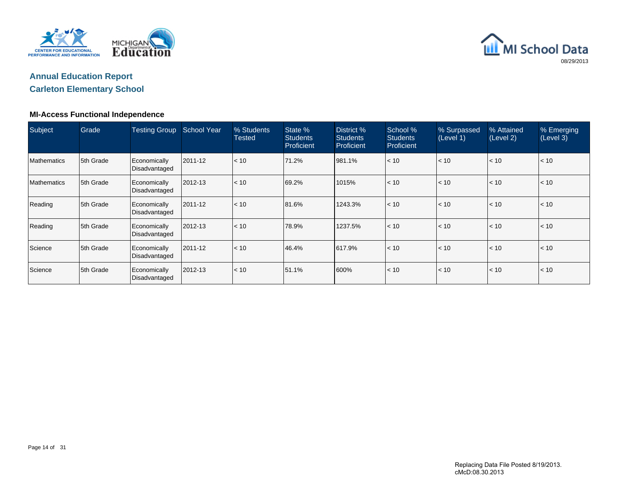



## **Carleton Elementary School**

#### **MI-Access Functional Independence**

| Subject            | Grade      | <b>Testing Group</b>          | <b>School Year</b> | % Students<br><b>Tested</b> | State %<br><b>Students</b><br>Proficient | District %<br><b>Students</b><br>Proficient | School %<br><b>Students</b><br><b>Proficient</b> | % Surpassed<br>(Level 1) | % Attained<br>(Level 2) | % Emerging<br>(Level 3) |
|--------------------|------------|-------------------------------|--------------------|-----------------------------|------------------------------------------|---------------------------------------------|--------------------------------------------------|--------------------------|-------------------------|-------------------------|
| <b>Mathematics</b> | 15th Grade | Economically<br>Disadvantaged | 2011-12            | < 10                        | 71.2%                                    | 981.1%                                      | < 10                                             | < 10                     | < 10                    | $\vert$ < 10            |
| <b>Mathematics</b> | 5th Grade  | Economically<br>Disadvantaged | 2012-13            | < 10                        | 69.2%                                    | 1015%                                       | < 10                                             | < 10                     | < 10                    | $\vert$ < 10            |
| Reading            | 5th Grade  | Economically<br>Disadvantaged | 2011-12            | < 10                        | 81.6%                                    | 1243.3%                                     | < 10                                             | < 10                     | < 10                    | $\vert$ < 10            |
| Reading            | 15th Grade | Economically<br>Disadvantaged | 2012-13            | < 10                        | 78.9%                                    | 1237.5%                                     | < 10                                             | < 10                     | < 10                    | $\vert$ < 10            |
| Science            | 5th Grade  | Economically<br>Disadvantaged | 2011-12            | < 10                        | 46.4%                                    | 617.9%                                      | < 10                                             | < 10                     | < 10                    | $\vert$ < 10            |
| Science            | 5th Grade  | Economically<br>Disadvantaged | 2012-13            | < 10                        | 51.1%                                    | 600%                                        | < 10                                             | < 10                     | < 10                    | l< 10                   |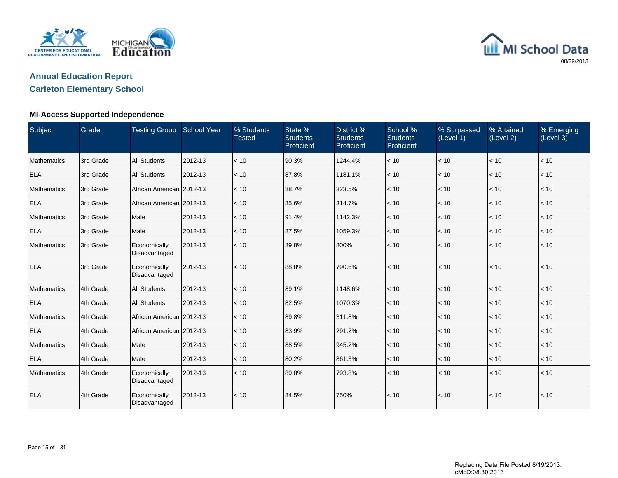

# **Annual Education Report**

## **Carleton Elementary School**

#### **MI-Access Supported Independence**

| Subject            | Grade     | Testing Group School Year     |         | % Students<br><b>Tested</b> | State %<br><b>Students</b><br>Proficient | District %<br><b>Students</b><br>Proficient | School %<br><b>Students</b><br>Proficient | % Surpassed<br>(Level 1) | % Attained<br>(Level 2) | % Emerging<br>(Level 3) |
|--------------------|-----------|-------------------------------|---------|-----------------------------|------------------------------------------|---------------------------------------------|-------------------------------------------|--------------------------|-------------------------|-------------------------|
| <b>Mathematics</b> | 3rd Grade | <b>All Students</b>           | 2012-13 | < 10                        | 90.3%                                    | 1244.4%                                     | < 10                                      | < 10                     | < 10                    | < 10                    |
| <b>ELA</b>         | 3rd Grade | <b>All Students</b>           | 2012-13 | < 10                        | 87.8%                                    | 1181.1%                                     | < 10                                      | < 10                     | < 10                    | < 10                    |
| <b>Mathematics</b> | 3rd Grade | African American   2012-13    |         | < 10                        | 88.7%                                    | 323.5%                                      | < 10                                      | < 10                     | < 10                    | < 10                    |
| <b>ELA</b>         | 3rd Grade | African American   2012-13    |         | < 10                        | 85.6%                                    | 314.7%                                      | < 10                                      | < 10                     | < 10                    | < 10                    |
| <b>Mathematics</b> | 3rd Grade | Male                          | 2012-13 | < 10                        | 91.4%                                    | 1142.3%                                     | < 10                                      | < 10                     | < 10                    | < 10                    |
| <b>ELA</b>         | 3rd Grade | Male                          | 2012-13 | < 10                        | 87.5%                                    | 1059.3%                                     | < 10                                      | < 10                     | < 10                    | < 10                    |
| <b>Mathematics</b> | 3rd Grade | Economically<br>Disadvantaged | 2012-13 | < 10                        | 89.8%                                    | 800%                                        | < 10                                      | < 10                     | < 10                    | < 10                    |
| <b>ELA</b>         | 3rd Grade | Economically<br>Disadvantaged | 2012-13 | < 10                        | 88.8%                                    | 790.6%                                      | < 10                                      | < 10                     | < 10                    | < 10                    |
| <b>Mathematics</b> | 4th Grade | <b>All Students</b>           | 2012-13 | < 10                        | 89.1%                                    | 1148.6%                                     | < 10                                      | < 10                     | < 10                    | < 10                    |
| <b>ELA</b>         | 4th Grade | <b>All Students</b>           | 2012-13 | < 10                        | 82.5%                                    | 1070.3%                                     | < 10                                      | < 10                     | < 10                    | < 10                    |
| <b>Mathematics</b> | 4th Grade | African American 2012-13      |         | < 10                        | 89.8%                                    | 311.8%                                      | < 10                                      | < 10                     | < 10                    | < 10                    |
| <b>ELA</b>         | 4th Grade | African American 2012-13      |         | < 10                        | 83.9%                                    | 291.2%                                      | < 10                                      | < 10                     | < 10                    | < 10                    |
| <b>Mathematics</b> | 4th Grade | Male                          | 2012-13 | < 10                        | 88.5%                                    | 945.2%                                      | < 10                                      | < 10                     | < 10                    | < 10                    |
| <b>ELA</b>         | 4th Grade | Male                          | 2012-13 | < 10                        | 80.2%                                    | 861.3%                                      | < 10                                      | < 10                     | < 10                    | < 10                    |
| <b>Mathematics</b> | 4th Grade | Economically<br>Disadvantaged | 2012-13 | < 10                        | 89.8%                                    | 793.8%                                      | < 10                                      | < 10                     | < 10                    | < 10                    |
| <b>ELA</b>         | 4th Grade | Economically<br>Disadvantaged | 2012-13 | < 10                        | 84.5%                                    | 750%                                        | < 10                                      | < 10                     | < 10                    | < 10                    |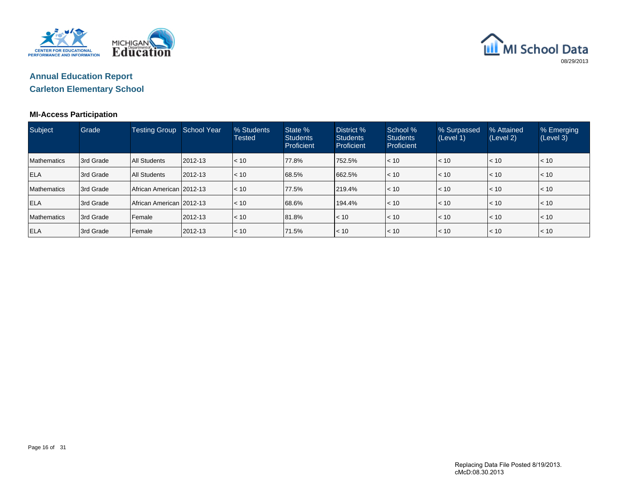



#### **MI-Access Participation**

| Subject            | Grade     | <b>Testing Group</b>       | <b>School Year</b> | % Students<br><b>Tested</b> | State %<br><b>Students</b><br>Proficient | District %<br><b>Students</b><br>Proficient | School %<br><b>Students</b><br><b>Proficient</b> | % Surpassed<br>(Level 1) | % Attained<br>(Level 2) | % Emerging<br>(Level 3) |
|--------------------|-----------|----------------------------|--------------------|-----------------------------|------------------------------------------|---------------------------------------------|--------------------------------------------------|--------------------------|-------------------------|-------------------------|
| <b>Mathematics</b> | 3rd Grade | All Students               | 2012-13            | < 10                        | 77.8%                                    | 1752.5%                                     | < 10                                             | $\leq 10$                | $ $ < 10                | < 10                    |
| <b>ELA</b>         | 3rd Grade | <b>All Students</b>        | $ 2012 - 13 $      | < 10                        | 68.5%                                    | 662.5%                                      | $ $ < 10                                         | $\leq 10$                | $\leq 10$               | < 10                    |
| <b>Mathematics</b> | 3rd Grade | African American   2012-13 |                    | < 10                        | 77.5%                                    | 219.4%                                      | < 10                                             | $\leq 10$                | < 10                    | < 10                    |
| <b>ELA</b>         | 3rd Grade | African American   2012-13 |                    | < 10                        | 68.6%                                    | 194.4%                                      | $ $ < 10                                         | $\leq 10$                | $ $ < 10                | < 10                    |
| <b>Mathematics</b> | 3rd Grade | Female                     | 2012-13            | < 10                        | 81.8%                                    | $\leq 10$                                   | < 10                                             | $\leq 10$                | $ $ < 10                | < 10                    |
| <b>ELA</b>         | 3rd Grade | Female                     | 2012-13            | < 10                        | 71.5%                                    | $\leq 10$                                   | $\leq 10$                                        | $\leq 10$                | $\leq 10$               | $\leq 10$               |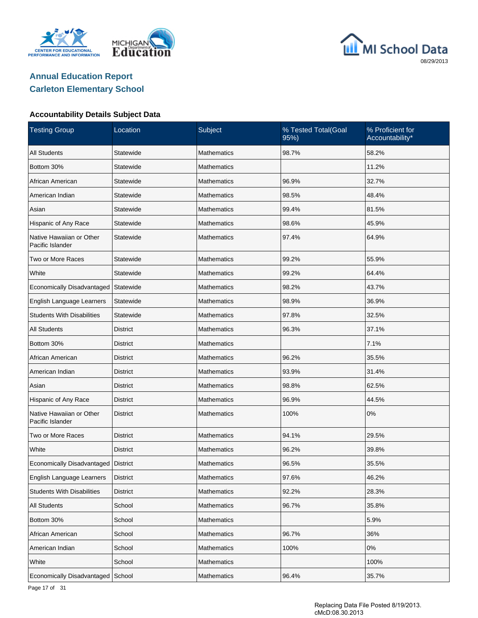





| <b>Testing Group</b>                         | Location        | Subject            | % Tested Total(Goal<br>95%) | % Proficient for<br>Accountability* |  |
|----------------------------------------------|-----------------|--------------------|-----------------------------|-------------------------------------|--|
| <b>All Students</b>                          | Statewide       | <b>Mathematics</b> | 98.7%                       | 58.2%                               |  |
| Bottom 30%                                   | Statewide       | <b>Mathematics</b> |                             | 11.2%                               |  |
| African American                             | Statewide       | Mathematics        | 96.9%                       | 32.7%                               |  |
| American Indian                              | Statewide       | <b>Mathematics</b> | 98.5%                       | 48.4%                               |  |
| Asian                                        | Statewide       | Mathematics        | 99.4%                       | 81.5%                               |  |
| Hispanic of Any Race                         | Statewide       | <b>Mathematics</b> | 98.6%                       | 45.9%                               |  |
| Native Hawaiian or Other<br>Pacific Islander | Statewide       | <b>Mathematics</b> | 97.4%                       | 64.9%                               |  |
| Two or More Races                            | Statewide       | <b>Mathematics</b> | 99.2%                       | 55.9%                               |  |
| White                                        | Statewide       | <b>Mathematics</b> | 99.2%                       | 64.4%                               |  |
| Economically Disadvantaged                   | Statewide       | <b>Mathematics</b> | 98.2%                       | 43.7%                               |  |
| English Language Learners                    | Statewide       | <b>Mathematics</b> | 98.9%                       | 36.9%                               |  |
| <b>Students With Disabilities</b>            | Statewide       | <b>Mathematics</b> | 97.8%                       | 32.5%                               |  |
| <b>All Students</b>                          | <b>District</b> | <b>Mathematics</b> | 96.3%                       | 37.1%                               |  |
| Bottom 30%                                   | <b>District</b> | <b>Mathematics</b> |                             | 7.1%                                |  |
| African American                             | <b>District</b> | <b>Mathematics</b> | 96.2%                       | 35.5%                               |  |
| American Indian                              | <b>District</b> | <b>Mathematics</b> | 93.9%                       | 31.4%                               |  |
| Asian                                        | District        | <b>Mathematics</b> | 98.8%                       | 62.5%                               |  |
| Hispanic of Any Race                         | <b>District</b> | <b>Mathematics</b> | 96.9%                       | 44.5%                               |  |
| Native Hawaiian or Other<br>Pacific Islander | <b>District</b> | <b>Mathematics</b> | 100%                        | 0%                                  |  |
| Two or More Races                            | District        | <b>Mathematics</b> | 94.1%                       | 29.5%                               |  |
| White                                        | <b>District</b> | <b>Mathematics</b> | 96.2%                       | 39.8%                               |  |
| Economically Disadvantaged   District        |                 | Mathematics        | 96.5%                       | 35.5%                               |  |
| English Language Learners                    | <b>District</b> | Mathematics        | 97.6%                       | 46.2%                               |  |
| <b>Students With Disabilities</b>            | <b>District</b> | Mathematics        | 92.2%                       | 28.3%                               |  |
| All Students                                 | School          | <b>Mathematics</b> | 96.7%                       | 35.8%                               |  |
| Bottom 30%                                   | School          | Mathematics        |                             | 5.9%                                |  |
| African American                             | School          | Mathematics        | 96.7%                       | 36%                                 |  |
| American Indian                              | School          | Mathematics        | 100%                        | 0%                                  |  |
| White                                        | School          | <b>Mathematics</b> |                             | 100%                                |  |
| Economically Disadvantaged School            |                 | Mathematics        | 96.4%                       | 35.7%                               |  |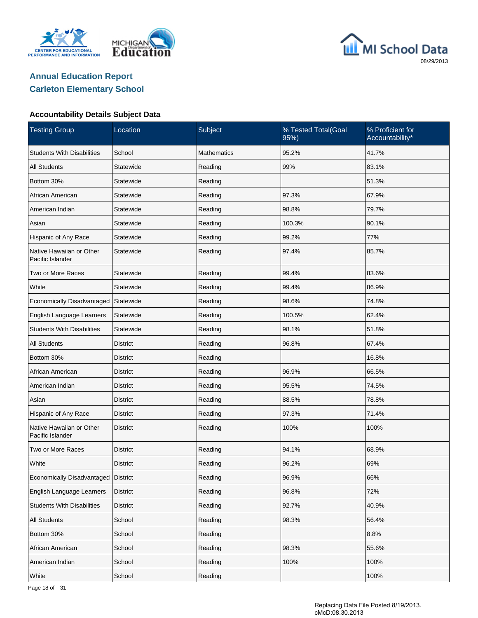





| <b>Testing Group</b>                         | Location        | Subject            | % Tested Total(Goal<br>95%) | % Proficient for<br>Accountability* |  |
|----------------------------------------------|-----------------|--------------------|-----------------------------|-------------------------------------|--|
| <b>Students With Disabilities</b>            | School          | <b>Mathematics</b> | 95.2%                       | 41.7%                               |  |
| <b>All Students</b>                          | Statewide       | Reading            | 99%                         | 83.1%                               |  |
| Bottom 30%                                   | Statewide       | Reading            |                             | 51.3%                               |  |
| African American                             | Statewide       | Reading            | 97.3%                       | 67.9%                               |  |
| American Indian                              | Statewide       | Reading            | 98.8%                       | 79.7%                               |  |
| Asian                                        | Statewide       | Reading            | 100.3%                      | 90.1%                               |  |
| Hispanic of Any Race                         | Statewide       | Reading            | 99.2%                       | 77%                                 |  |
| Native Hawaiian or Other<br>Pacific Islander | Statewide       | Reading            | 97.4%                       | 85.7%                               |  |
| Two or More Races                            | Statewide       | Reading            | 99.4%                       | 83.6%                               |  |
| White                                        | Statewide       | Reading            | 99.4%                       | 86.9%                               |  |
| Economically Disadvantaged                   | Statewide       | Reading            | 98.6%                       | 74.8%                               |  |
| English Language Learners                    | Statewide       | Reading            | 100.5%                      | 62.4%                               |  |
| <b>Students With Disabilities</b>            | Statewide       | Reading            | 98.1%                       | 51.8%                               |  |
| <b>All Students</b>                          | <b>District</b> | Reading            | 96.8%                       | 67.4%                               |  |
| Bottom 30%                                   | District        | Reading            |                             | 16.8%                               |  |
| African American                             | <b>District</b> | Reading            | 96.9%                       | 66.5%                               |  |
| American Indian                              | District        | Reading            | 95.5%                       | 74.5%                               |  |
| Asian                                        | <b>District</b> | Reading            | 88.5%                       | 78.8%                               |  |
| Hispanic of Any Race                         | District        | Reading            | 97.3%                       | 71.4%                               |  |
| Native Hawaiian or Other<br>Pacific Islander | <b>District</b> | Reading            | 100%                        | 100%                                |  |
| Two or More Races                            | <b>District</b> | Reading            | 94.1%                       | 68.9%                               |  |
| White                                        | <b>District</b> | Reading            | 96.2%                       | 69%                                 |  |
| Economically Disadvantaged                   | <b>District</b> | Reading            | 96.9%                       | 66%                                 |  |
| English Language Learners                    | District        | Reading            | 96.8%                       | 72%                                 |  |
| <b>Students With Disabilities</b>            | <b>District</b> | Reading            | 92.7%                       | 40.9%                               |  |
| All Students                                 | School          | Reading            | 98.3%                       | 56.4%                               |  |
| Bottom 30%                                   | School          | Reading            |                             | 8.8%                                |  |
| African American                             | School          | Reading            | 98.3%                       | 55.6%                               |  |
| American Indian                              | School          | Reading            | 100%                        | 100%                                |  |
| White                                        | School          | Reading            |                             | 100%                                |  |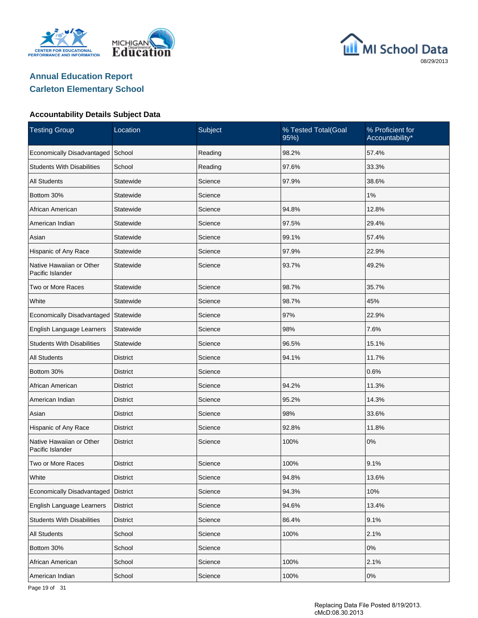





| <b>Testing Group</b>                         | Location        | Subject | % Tested Total(Goal<br>95%) | % Proficient for<br>Accountability* |
|----------------------------------------------|-----------------|---------|-----------------------------|-------------------------------------|
| Economically Disadvantaged                   | School          | Reading | 98.2%                       | 57.4%                               |
| <b>Students With Disabilities</b>            | School          | Reading | 97.6%                       | 33.3%                               |
| <b>All Students</b>                          | Statewide       | Science | 97.9%                       | 38.6%                               |
| Bottom 30%                                   | Statewide       | Science |                             | 1%                                  |
| African American                             | Statewide       | Science | 94.8%                       | 12.8%                               |
| American Indian                              | Statewide       | Science | 97.5%                       | 29.4%                               |
| Asian                                        | Statewide       | Science | 99.1%                       | 57.4%                               |
| Hispanic of Any Race                         | Statewide       | Science | 97.9%                       | 22.9%                               |
| Native Hawaiian or Other<br>Pacific Islander | Statewide       | Science | 93.7%                       | 49.2%                               |
| Two or More Races                            | Statewide       | Science | 98.7%                       | 35.7%                               |
| White                                        | Statewide       | Science | 98.7%                       | 45%                                 |
| Economically Disadvantaged                   | Statewide       | Science | 97%                         | 22.9%                               |
| English Language Learners                    | Statewide       | Science | 98%                         | 7.6%                                |
| <b>Students With Disabilities</b>            | Statewide       | Science | 96.5%                       | 15.1%                               |
| <b>All Students</b>                          | <b>District</b> | Science | 94.1%                       | 11.7%                               |
| Bottom 30%                                   | District        | Science |                             | 0.6%                                |
| African American                             | District        | Science | 94.2%                       | 11.3%                               |
| American Indian                              | District        | Science | 95.2%                       | 14.3%                               |
| Asian                                        | <b>District</b> | Science | 98%                         | 33.6%                               |
| Hispanic of Any Race                         | <b>District</b> | Science | 92.8%                       | 11.8%                               |
| Native Hawaiian or Other<br>Pacific Islander | <b>District</b> | Science | 100%                        | 0%                                  |
| Two or More Races                            | <b>District</b> | Science | 100%                        | 9.1%                                |
| White                                        | <b>District</b> | Science | 94.8%                       | 13.6%                               |
| Economically Disadvantaged                   | <b>District</b> | Science | 94.3%                       | 10%                                 |
| English Language Learners                    | <b>District</b> | Science | 94.6%                       | 13.4%                               |
| <b>Students With Disabilities</b>            | <b>District</b> | Science | 86.4%                       | 9.1%                                |
| <b>All Students</b>                          | School          | Science | 100%                        | 2.1%                                |
| Bottom 30%                                   | School          | Science |                             | 0%                                  |
| African American                             | School          | Science | 100%                        | 2.1%                                |
| American Indian                              | School          | Science | 100%                        | 0%                                  |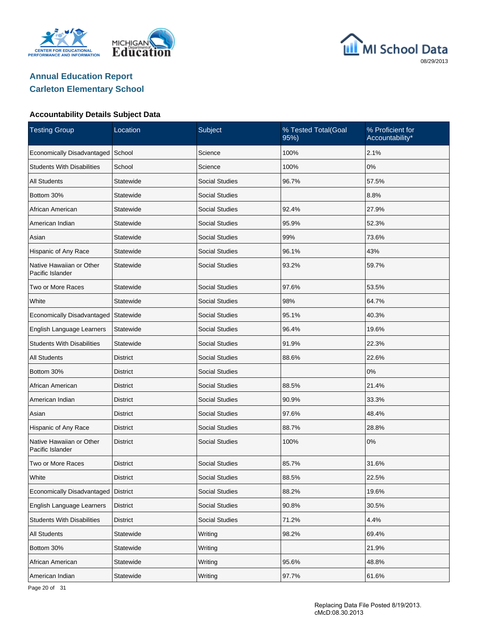





#### **Accountability Details Subject Data**

| <b>Testing Group</b>                         | Location        | Subject               | % Tested Total(Goal<br>95%) | % Proficient for<br>Accountability* |
|----------------------------------------------|-----------------|-----------------------|-----------------------------|-------------------------------------|
| Economically Disadvantaged                   | School          | Science               | 100%                        | 2.1%                                |
| <b>Students With Disabilities</b>            | School          | Science               | 100%                        | 0%                                  |
| <b>All Students</b>                          | Statewide       | <b>Social Studies</b> | 96.7%                       | 57.5%                               |
| Bottom 30%                                   | Statewide       | <b>Social Studies</b> |                             | 8.8%                                |
| African American                             | Statewide       | <b>Social Studies</b> | 92.4%                       | 27.9%                               |
| American Indian                              | Statewide       | <b>Social Studies</b> | 95.9%                       | 52.3%                               |
| Asian                                        | Statewide       | <b>Social Studies</b> | 99%                         | 73.6%                               |
| Hispanic of Any Race                         | Statewide       | <b>Social Studies</b> | 96.1%                       | 43%                                 |
| Native Hawaiian or Other<br>Pacific Islander | Statewide       | <b>Social Studies</b> | 93.2%                       | 59.7%                               |
| Two or More Races                            | Statewide       | Social Studies        | 97.6%                       | 53.5%                               |
| White                                        | Statewide       | <b>Social Studies</b> | 98%                         | 64.7%                               |
| Economically Disadvantaged                   | Statewide       | Social Studies        | 95.1%                       | 40.3%                               |
| English Language Learners                    | Statewide       | <b>Social Studies</b> | 96.4%                       | 19.6%                               |
| <b>Students With Disabilities</b>            | Statewide       | Social Studies        | 91.9%                       | 22.3%                               |
| <b>All Students</b>                          | District        | <b>Social Studies</b> | 88.6%                       | 22.6%                               |
| Bottom 30%                                   | District        | Social Studies        |                             | 0%                                  |
| African American                             | District        | <b>Social Studies</b> | 88.5%                       | 21.4%                               |
| American Indian                              | District        | Social Studies        | 90.9%                       | 33.3%                               |
| Asian                                        | District        | <b>Social Studies</b> | 97.6%                       | 48.4%                               |
| Hispanic of Any Race                         | District        | <b>Social Studies</b> | 88.7%                       | 28.8%                               |
| Native Hawaiian or Other<br>Pacific Islander | <b>District</b> | Social Studies        | 100%                        | 0%                                  |
| Two or More Races                            | <b>District</b> | <b>Social Studies</b> | 85.7%                       | 31.6%                               |
| White                                        | <b>District</b> | Social Studies        | 88.5%                       | 22.5%                               |
| Economically Disadvantaged                   | <b>District</b> | <b>Social Studies</b> | 88.2%                       | 19.6%                               |
| English Language Learners                    | <b>District</b> | Social Studies        | 90.8%                       | 30.5%                               |
| <b>Students With Disabilities</b>            | <b>District</b> | Social Studies        | 71.2%                       | 4.4%                                |
| All Students                                 | Statewide       | Writing               | 98.2%                       | 69.4%                               |
| Bottom 30%                                   | Statewide       | Writing               |                             | 21.9%                               |
| African American                             | Statewide       | Writing               | 95.6%                       | 48.8%                               |
| American Indian                              | Statewide       | Writing               | 97.7%                       | 61.6%                               |

Page 20 of 31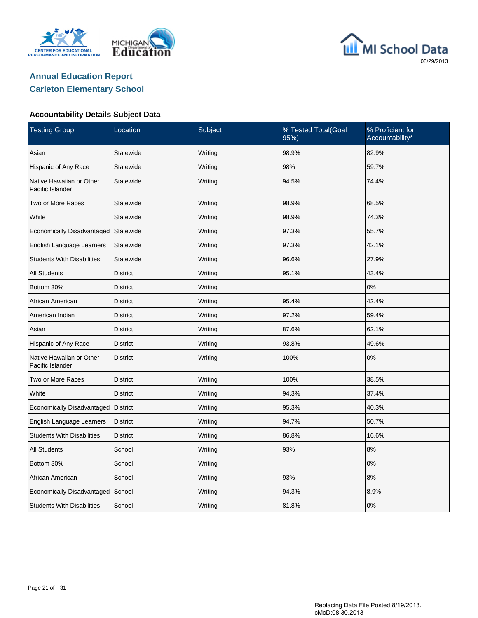





| <b>Testing Group</b>                         | Location        | Subject | % Tested Total(Goal<br>95%) | % Proficient for<br>Accountability* |
|----------------------------------------------|-----------------|---------|-----------------------------|-------------------------------------|
| Asian                                        | Statewide       | Writing | 98.9%                       | 82.9%                               |
| Hispanic of Any Race                         | Statewide       | Writing | 98%                         | 59.7%                               |
| Native Hawaiian or Other<br>Pacific Islander | Statewide       | Writing | 94.5%                       | 74.4%                               |
| Two or More Races                            | Statewide       | Writing | 98.9%                       | 68.5%                               |
| White                                        | Statewide       | Writing | 98.9%                       | 74.3%                               |
| Economically Disadvantaged                   | Statewide       | Writing | 97.3%                       | 55.7%                               |
| English Language Learners                    | Statewide       | Writing | 97.3%                       | 42.1%                               |
| <b>Students With Disabilities</b>            | Statewide       | Writing | 96.6%                       | 27.9%                               |
| <b>All Students</b>                          | <b>District</b> | Writing | 95.1%                       | 43.4%                               |
| Bottom 30%                                   | <b>District</b> | Writing |                             | 0%                                  |
| African American                             | <b>District</b> | Writing | 95.4%                       | 42.4%                               |
| American Indian                              | District        | Writing | 97.2%                       | 59.4%                               |
| Asian                                        | <b>District</b> | Writing | 87.6%                       | 62.1%                               |
| Hispanic of Any Race                         | <b>District</b> | Writing | 93.8%                       | 49.6%                               |
| Native Hawaiian or Other<br>Pacific Islander | <b>District</b> | Writing | 100%                        | 0%                                  |
| Two or More Races                            | <b>District</b> | Writing | 100%                        | 38.5%                               |
| White                                        | <b>District</b> | Writing | 94.3%                       | 37.4%                               |
| Economically Disadvantaged                   | <b>District</b> | Writing | 95.3%                       | 40.3%                               |
| English Language Learners                    | <b>District</b> | Writing | 94.7%                       | 50.7%                               |
| <b>Students With Disabilities</b>            | <b>District</b> | Writing | 86.8%                       | 16.6%                               |
| <b>All Students</b>                          | School          | Writing | 93%                         | 8%                                  |
| Bottom 30%                                   | School          | Writing |                             | 0%                                  |
| African American                             | School          | Writing | 93%                         | 8%                                  |
| Economically Disadvantaged                   | School          | Writing | 94.3%                       | 8.9%                                |
| <b>Students With Disabilities</b>            | School          | Writing | 81.8%                       | 0%                                  |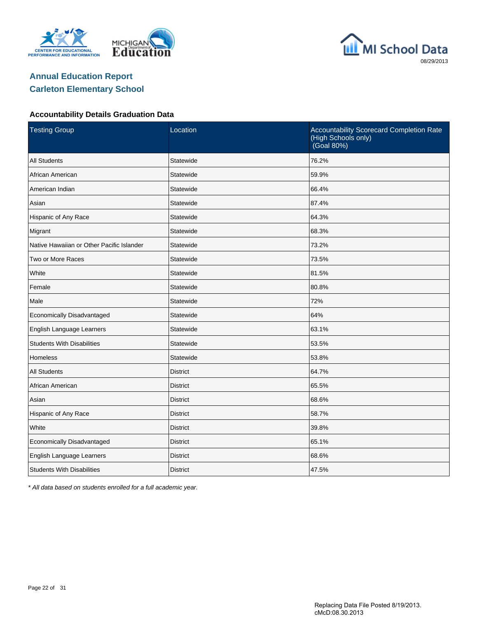





#### **Accountability Details Graduation Data**

| <b>Testing Group</b>                      | Location        | Accountability Scorecard Completion Rate<br>(High Schools only)<br>(Goal 80%) |  |  |  |
|-------------------------------------------|-----------------|-------------------------------------------------------------------------------|--|--|--|
| <b>All Students</b>                       | Statewide       | 76.2%                                                                         |  |  |  |
| African American                          | Statewide       | 59.9%                                                                         |  |  |  |
| American Indian                           | Statewide       | 66.4%                                                                         |  |  |  |
| Asian                                     | Statewide       | 87.4%                                                                         |  |  |  |
| Hispanic of Any Race                      | Statewide       | 64.3%                                                                         |  |  |  |
| Migrant                                   | Statewide       | 68.3%                                                                         |  |  |  |
| Native Hawaiian or Other Pacific Islander | Statewide       | 73.2%                                                                         |  |  |  |
| Two or More Races                         | Statewide       | 73.5%                                                                         |  |  |  |
| White                                     | Statewide       | 81.5%                                                                         |  |  |  |
| Female                                    | Statewide       | 80.8%                                                                         |  |  |  |
| Male                                      | Statewide       | 72%                                                                           |  |  |  |
| Economically Disadvantaged                | Statewide       | 64%                                                                           |  |  |  |
| English Language Learners                 | Statewide       | 63.1%                                                                         |  |  |  |
| <b>Students With Disabilities</b>         | Statewide       | 53.5%                                                                         |  |  |  |
| <b>Homeless</b>                           | Statewide       | 53.8%                                                                         |  |  |  |
| <b>All Students</b>                       | <b>District</b> | 64.7%                                                                         |  |  |  |
| African American                          | <b>District</b> | 65.5%                                                                         |  |  |  |
| Asian                                     | <b>District</b> | 68.6%                                                                         |  |  |  |
| Hispanic of Any Race                      | District        | 58.7%                                                                         |  |  |  |
| White                                     | <b>District</b> | 39.8%                                                                         |  |  |  |
| Economically Disadvantaged                | <b>District</b> | 65.1%                                                                         |  |  |  |
| English Language Learners                 | <b>District</b> | 68.6%                                                                         |  |  |  |
| <b>Students With Disabilities</b>         | <b>District</b> | 47.5%                                                                         |  |  |  |

\* All data based on students enrolled for a full academic year.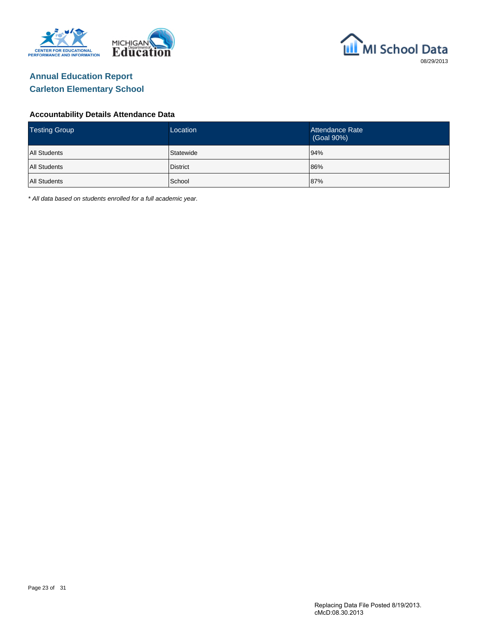



#### **Accountability Details Attendance Data**

| <b>Testing Group</b> | Location  | Attendance Rate<br>(Goal 90%) |
|----------------------|-----------|-------------------------------|
| <b>All Students</b>  | Statewide | 94%                           |
| <b>All Students</b>  | District  | 86%                           |
| <b>All Students</b>  | School    | 87%                           |

\* All data based on students enrolled for a full academic year.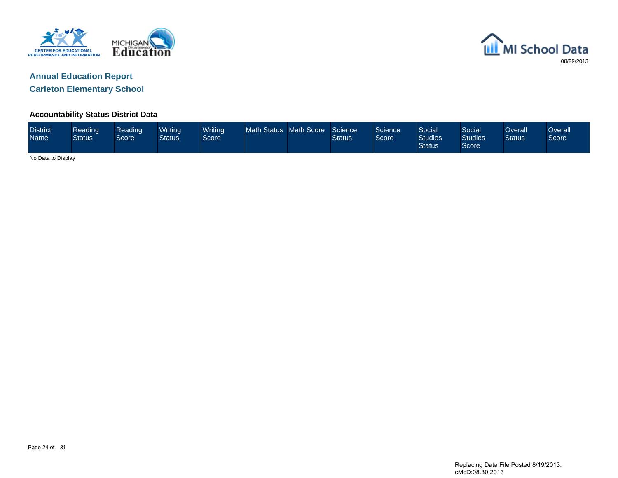



**Carleton Elementary School**

#### **Accountability Status District Data**

| <b>District</b><br><b>Name</b> | Reading<br><b>Status</b> | Reading<br><b>Score</b> | Writina<br>Status | Writing<br>Score <sup>1</sup> | <b>Math Status</b> | Math Score | Science<br><b>Status</b> | Science<br>Score | <b>Social</b><br><b>Studies</b><br><b>Status</b> | Social<br><b>Studies</b><br>Score | )verall<br><b>Status</b> | <b>Overall</b><br>Score |
|--------------------------------|--------------------------|-------------------------|-------------------|-------------------------------|--------------------|------------|--------------------------|------------------|--------------------------------------------------|-----------------------------------|--------------------------|-------------------------|
|                                | No Data to Display       |                         |                   |                               |                    |            |                          |                  |                                                  |                                   |                          |                         |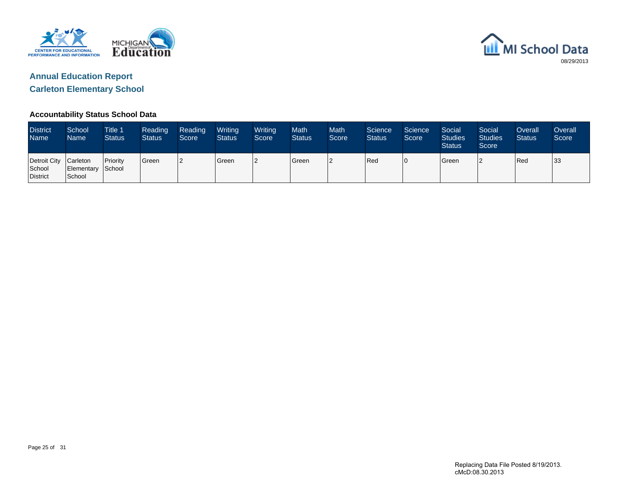



#### **Accountability Status School Data**

| <b>District</b><br>Name <sup>1</sup>        | School<br>Name <sup>1</sup> | Title 1<br><b>Status</b> | Reading<br><b>Status</b> | Reading<br>Score | Writing<br><b>Status</b> | Writing<br>Score | <b>Math</b><br><b>Status</b> | <b>Math</b><br>Score | Science<br><b>Status</b> | Science<br>Score | Social<br><b>Studies</b><br><b>Status</b> | Social<br><b>Studies</b><br>Score | Overall<br><b>Status</b> | <b>Overall</b><br>Score |
|---------------------------------------------|-----------------------------|--------------------------|--------------------------|------------------|--------------------------|------------------|------------------------------|----------------------|--------------------------|------------------|-------------------------------------------|-----------------------------------|--------------------------|-------------------------|
| Detroit City Carleton<br>School<br>District | Elementary School<br>School | <b>Priority</b>          | <sup>I</sup> Green       | 12               | Green                    | $\overline{2}$   | Green                        |                      | Red                      | 10               | <b>S</b> reen                             | ာ                                 | Red                      | 33                      |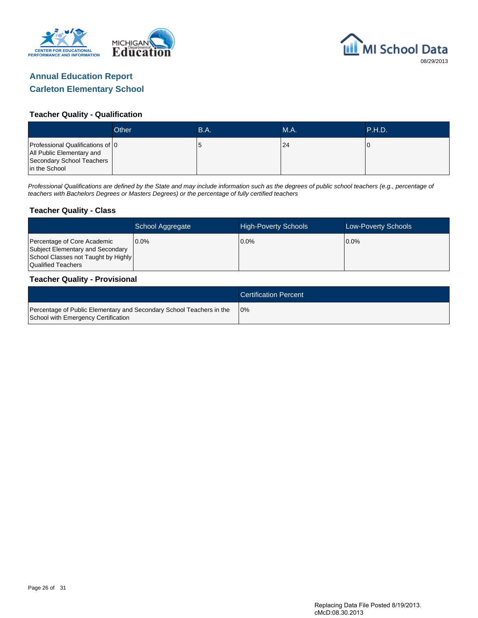



#### **Teacher Quality - Qualification**

|                                                                                                             | Other | B.A. | <b>M.A.</b> | <b>P.H.D.</b> |
|-------------------------------------------------------------------------------------------------------------|-------|------|-------------|---------------|
| Professional Qualifications of 0<br>All Public Elementary and<br>Secondary School Teachers<br>in the School |       |      | 24          |               |

Professional Qualifications are defined by the State and may include information such as the degrees of public school teachers (e.g., percentage of teachers with Bachelors Degrees or Masters Degrees) or the percentage of fully certified teachers

#### **Teacher Quality - Class**

|                                                                                                                              | School Aggregate | <b>High-Poverty Schools</b> | <b>Low-Poverty Schools</b> |
|------------------------------------------------------------------------------------------------------------------------------|------------------|-----------------------------|----------------------------|
| Percentage of Core Academic<br>Subject Elementary and Secondary<br>School Classes not Taught by Highly<br>Qualified Teachers | $0.0\%$          | $0.0\%$                     | 0.0%                       |

#### **Teacher Quality - Provisional**

|                                                                                                             | <b>Certification Percent</b> |
|-------------------------------------------------------------------------------------------------------------|------------------------------|
| Percentage of Public Elementary and Secondary School Teachers in the<br>School with Emergency Certification | 10%                          |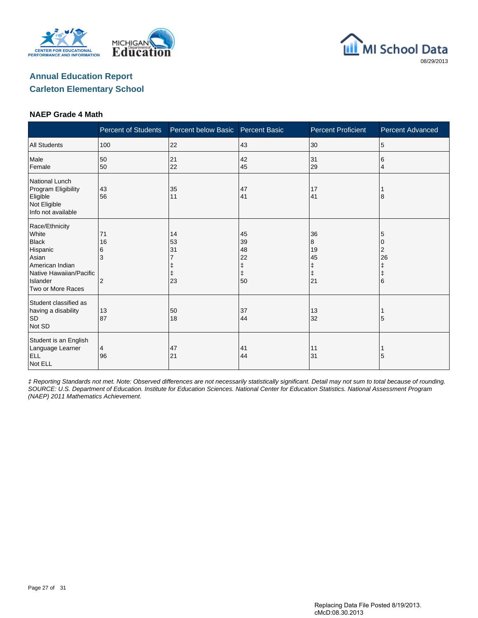





#### **NAEP Grade 4 Math**

|                                                                                                                                             | <b>Percent of Students</b>           | Percent below Basic  | <b>Percent Basic</b>                 | <b>Percent Proficient</b>                    | <b>Percent Advanced</b>                   |
|---------------------------------------------------------------------------------------------------------------------------------------------|--------------------------------------|----------------------|--------------------------------------|----------------------------------------------|-------------------------------------------|
| <b>All Students</b>                                                                                                                         | 100                                  | 22                   | 43                                   | 30                                           | 5                                         |
| Male<br>Female                                                                                                                              | 50<br>50                             | 21<br>22             | 42<br>45                             | 31<br>29                                     | 6<br>4                                    |
| National Lunch<br>Program Eligibility<br>Eligible<br>Not Eligible<br>Info not available                                                     | 43<br>56                             | 35<br>11             | 47<br>41                             | 17<br>41                                     | 8                                         |
| Race/Ethnicity<br>White<br><b>Black</b><br>Hispanic<br>Asian<br>American Indian<br>Native Hawaiian/Pacific<br>Islander<br>Two or More Races | 71<br>16<br>6<br>3<br>$\overline{2}$ | 14<br>53<br>31<br>23 | 45<br>39<br>48<br>22<br>ŧ<br>ŧ<br>50 | 36<br>8<br>19<br>45<br>ŧ<br>$\ddagger$<br>21 | 5<br>0<br>2<br>26<br>ŧ<br>$\ddagger$<br>6 |
| Student classified as<br>having a disability<br><b>SD</b><br>Not SD                                                                         | 13<br>87                             | 50<br>18             | 37<br>44                             | 13<br>32                                     | 5                                         |
| Student is an English<br>Language Learner<br><b>ELL</b><br>Not ELL                                                                          | 4<br>96                              | 47<br>21             | 41<br>44                             | 11<br>31                                     | 5                                         |

‡ Reporting Standards not met. Note: Observed differences are not necessarily statistically significant. Detail may not sum to total because of rounding. SOURCE: U.S. Department of Education. Institute for Education Sciences. National Center for Education Statistics. National Assessment Program (NAEP) 2011 Mathematics Achievement.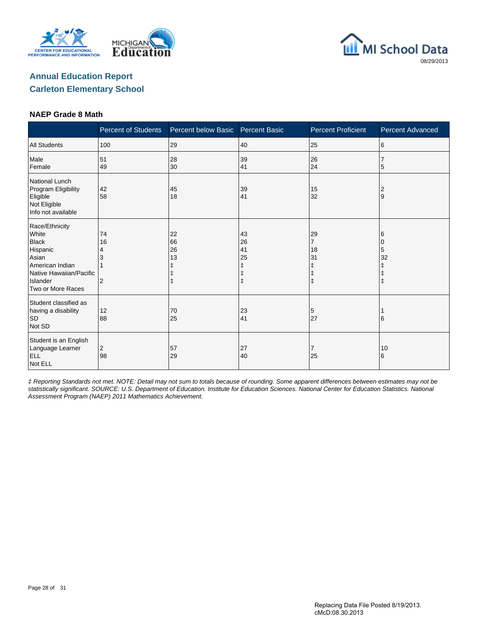





#### **NAEP Grade 8 Math**

|                                                                                                                                             | <b>Percent of Students</b>      | Percent below Basic                | <b>Percent Basic</b>           | <b>Percent Proficient</b>                                | Percent Advanced           |
|---------------------------------------------------------------------------------------------------------------------------------------------|---------------------------------|------------------------------------|--------------------------------|----------------------------------------------------------|----------------------------|
| <b>All Students</b>                                                                                                                         | 100                             | 29                                 | 40                             | 25                                                       | 6                          |
| Male<br>Female                                                                                                                              | 51<br>49                        | 28<br>30                           | 39<br>41                       | 26<br>24                                                 | 5                          |
| National Lunch<br>Program Eligibility<br>Eligible<br>Not Eligible<br>Info not available                                                     | 42<br>58                        | 45<br>18                           | 39<br>41                       | 15<br>32                                                 | $\overline{2}$<br>9        |
| Race/Ethnicity<br>White<br><b>Black</b><br>Hispanic<br>Asian<br>American Indian<br>Native Hawaiian/Pacific<br>Islander<br>Two or More Races | 74<br>16<br>4<br>$\overline{2}$ | 22<br>66<br>26<br>13<br>$\ddagger$ | 43<br>26<br>41<br>25<br>ŧ<br>ŧ | 29<br>$\overline{7}$<br>18<br>31<br>ŧ<br>ŧ<br>$\ddagger$ | 6<br>5<br>32<br>$\ddagger$ |
| Student classified as<br>having a disability<br>SD<br>Not SD                                                                                | 12<br>88                        | 70<br>25                           | 23<br>41                       | 5<br>27                                                  | 6                          |
| Student is an English<br>Language Learner<br><b>ELL</b><br>Not ELL                                                                          | $\overline{c}$<br>98            | 57<br>29                           | 27<br>40                       | $\overline{7}$<br>25                                     | 10<br>6                    |

‡ Reporting Standards not met. NOTE: Detail may not sum to totals because of rounding. Some apparent differences between estimates may not be statistically significant. SOURCE: U.S. Department of Education. Institute for Education Sciences. National Center for Education Statistics. National Assessment Program (NAEP) 2011 Mathematics Achievement.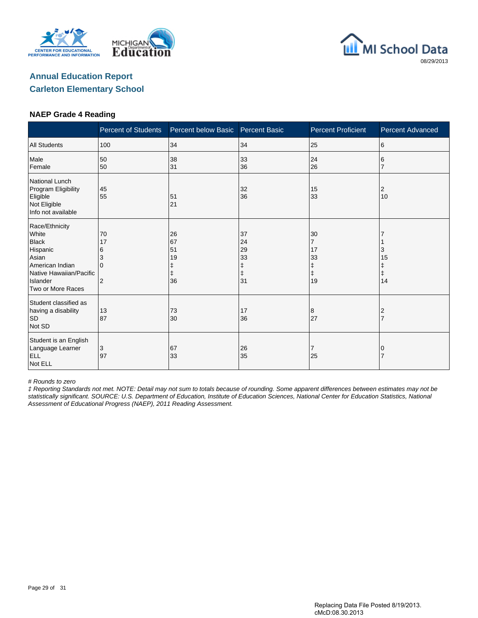





#### **NAEP Grade 4 Reading**

|                                                                                                                                             | <b>Percent of Students</b>                           | Percent below Basic        | <b>Percent Basic</b>                 | <b>Percent Proficient</b>                                 | <b>Percent Advanced</b>          |
|---------------------------------------------------------------------------------------------------------------------------------------------|------------------------------------------------------|----------------------------|--------------------------------------|-----------------------------------------------------------|----------------------------------|
| <b>All Students</b>                                                                                                                         | 100                                                  | 34                         | 34                                   | 25                                                        | 6                                |
| Male<br>Female                                                                                                                              | 50<br>50                                             | 38<br>31                   | 33<br>36                             | 24<br>26                                                  | 6                                |
| <b>National Lunch</b><br>Program Eligibility<br>Eligible<br>Not Eligible<br>Info not available                                              | 45<br>55                                             | 51<br>21                   | 32<br>36                             | 15<br>33                                                  | 2<br>10                          |
| Race/Ethnicity<br>White<br><b>Black</b><br>Hispanic<br>Asian<br>American Indian<br>Native Hawaiian/Pacific<br>Islander<br>Two or More Races | 70<br>17<br>6<br>3<br><sup>0</sup><br>$\overline{2}$ | 26<br>67<br>51<br>19<br>36 | 37<br>24<br>29<br>33<br>ŧ<br>ŧ<br>31 | 30<br>$\overline{7}$<br>17<br>33<br>ŧ<br>$\ddagger$<br>19 | 3<br>15<br>Ŧ<br>$\ddagger$<br>14 |
| Student classified as<br>having a disability<br><b>SD</b><br>Not SD                                                                         | 13<br>87                                             | 73<br>30                   | 17<br>36                             | 8<br>27                                                   | 2<br>$\overline{7}$              |
| Student is an English<br>Language Learner<br><b>ELL</b><br>Not ELL                                                                          | 3<br>97                                              | 67<br>33                   | 26<br>35                             | 7<br>25                                                   | 0                                |

# Rounds to zero

‡ Reporting Standards not met. NOTE: Detail may not sum to totals because of rounding. Some apparent differences between estimates may not be statistically significant. SOURCE: U.S. Department of Education, Institute of Education Sciences, National Center for Education Statistics, National Assessment of Educational Progress (NAEP), 2011 Reading Assessment.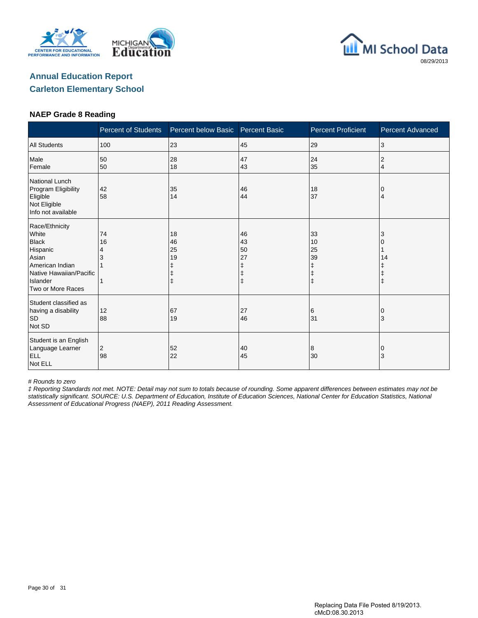





#### **NAEP Grade 8 Reading**

|                                                                                                                                             | <b>Percent of Students</b> | Percent below Basic                                   | <b>Percent Basic</b>      | <b>Percent Proficient</b>                             | <b>Percent Advanced</b> |
|---------------------------------------------------------------------------------------------------------------------------------------------|----------------------------|-------------------------------------------------------|---------------------------|-------------------------------------------------------|-------------------------|
| <b>All Students</b>                                                                                                                         | 100                        | 23                                                    | 45                        | 29                                                    | 3                       |
| Male<br>Female                                                                                                                              | 50<br>50                   | 28<br>18                                              | 47<br>43                  | 24<br>35                                              | 2<br>$\overline{4}$     |
| National Lunch<br>Program Eligibility<br>Eligible<br>Not Eligible<br>Info not available                                                     | 42<br>58                   | 35<br>14                                              | 46<br>44                  | 18<br>37                                              | 0<br>4                  |
| Race/Ethnicity<br>White<br><b>Black</b><br>Hispanic<br>Asian<br>American Indian<br>Native Hawaiian/Pacific<br>Islander<br>Two or More Races | 74<br>16<br>4<br>3         | 18<br>46<br>25<br>19<br>ŧ<br>$\ddagger$<br>$\ddagger$ | 46<br>43<br>50<br>27<br>ŧ | 33<br>10<br>25<br>39<br>ŧ<br>$\ddagger$<br>$\ddagger$ | 3<br>14                 |
| Student classified as<br>having a disability<br><b>SD</b><br>Not SD                                                                         | 12<br>88                   | 67<br>19                                              | 27<br>46                  | 6<br>31                                               | ΙO<br>3                 |
| Student is an English<br>Language Learner<br><b>ELL</b><br>Not ELL                                                                          | 2<br>98                    | 52<br>22                                              | 40<br>45                  | 8<br>30                                               | 0<br>3                  |

# Rounds to zero

‡ Reporting Standards not met. NOTE: Detail may not sum to totals because of rounding. Some apparent differences between estimates may not be statistically significant. SOURCE: U.S. Department of Education, Institute of Education Sciences, National Center for Education Statistics, National Assessment of Educational Progress (NAEP), 2011 Reading Assessment.